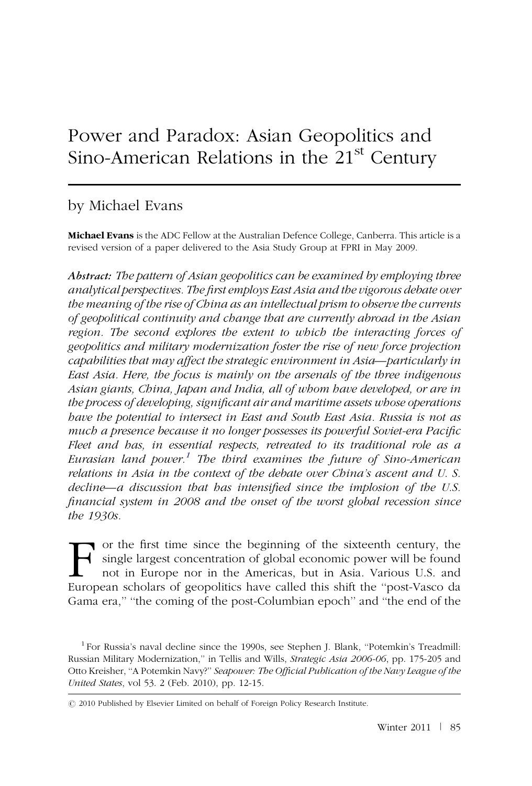# Power and Paradox: Asian Geopolitics and Sino-American Relations in the  $21<sup>st</sup>$  Century

# by Michael Evans

Michael Evans is the ADC Fellow at the Australian Defence College, Canberra. This article is a revised version of a paper delivered to the Asia Study Group at FPRI in May 2009.

Abstract: The pattern of Asian geopolitics can be examined by employing three analytical perspectives. The first employs East Asia and the vigorous debate over the meaning of the rise of China as an intellectual prism to observe the currents of geopolitical continuity and change that are currently abroad in the Asian region. The second explores the extent to which the interacting forces of geopolitics and military modernization foster the rise of new force projection capabilities that may affect the strategic environment in Asia—particularly in East Asia. Here, the focus is mainly on the arsenals of the three indigenous Asian giants, China, Japan and India, all of whom have developed, or are in the process of developing, significant air and maritime assets whose operations have the potential to intersect in East and South East Asia. Russia is not as much a presence because it no longer possesses its powerful Soviet-era Pacific Fleet and has, in essential respects, retreated to its traditional role as a Eurasian land power.<sup>1</sup> The third examines the future of Sino-American relations in Asia in the context of the debate over China's ascent and U. S. decline—a discussion that has intensified since the implosion of the U.S. financial system in 2008 and the onset of the worst global recession since the 1930s.

For the first time since the beginning of the sixteenth century, the single largest concentration of global economic power will be found not in Europe nor in the Americas, but in Asia. Various U.S. and European scholars of single largest concentration of global economic power will be found not in Europe nor in the Americas, but in Asia. Various U.S. and European scholars of geopolitics have called this shift the ''post-Vasco da Gama era,'' ''the coming of the post-Columbian epoch'' and ''the end of the

<sup>1</sup> For Russia's naval decline since the 1990s, see Stephen J. Blank, ''Potemkin's Treadmill: Russian Military Modernization,'' in Tellis and Wills, Strategic Asia 2006-06, pp. 175-205 and Otto Kreisher, ''A Potemkin Navy?'' Seapower: The Official Publication of the Navy League of the United States, vol 53. 2 (Feb. 2010), pp. 12-15.

 $\circled{c}$  2010 Published by Elsevier Limited on behalf of Foreign Policy Research Institute.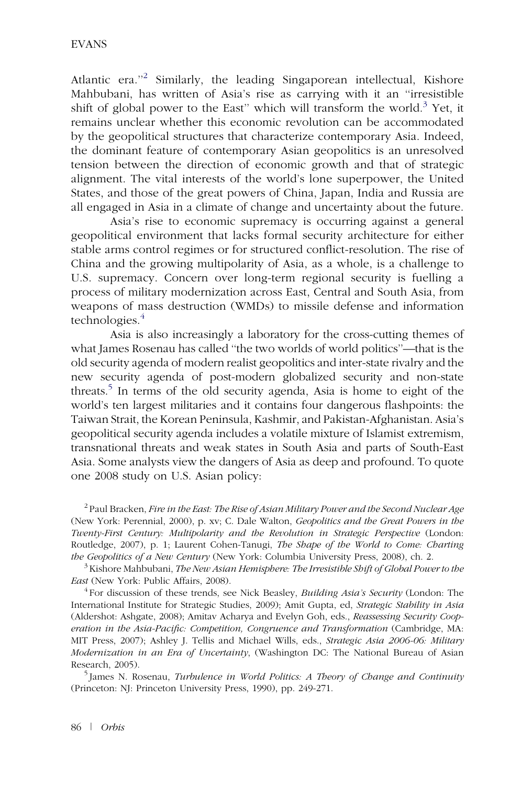Atlantic era."<sup>2</sup> Similarly, the leading Singaporean intellectual, Kishore Mahbubani, has written of Asia's rise as carrying with it an ''irresistible shift of global power to the East" which will transform the world.<sup>3</sup> Yet, it remains unclear whether this economic revolution can be accommodated by the geopolitical structures that characterize contemporary Asia. Indeed, the dominant feature of contemporary Asian geopolitics is an unresolved tension between the direction of economic growth and that of strategic alignment. The vital interests of the world's lone superpower, the United States, and those of the great powers of China, Japan, India and Russia are all engaged in Asia in a climate of change and uncertainty about the future.

Asia's rise to economic supremacy is occurring against a general geopolitical environment that lacks formal security architecture for either stable arms control regimes or for structured conflict-resolution. The rise of China and the growing multipolarity of Asia, as a whole, is a challenge to U.S. supremacy. Concern over long-term regional security is fuelling a process of military modernization across East, Central and South Asia, from weapons of mass destruction (WMDs) to missile defense and information technologies. $4$ 

Asia is also increasingly a laboratory for the cross-cutting themes of what James Rosenau has called ''the two worlds of world politics''—that is the old security agenda of modern realist geopolitics and inter-state rivalry and the new security agenda of post-modern globalized security and non-state threats.<sup>5</sup> In terms of the old security agenda, Asia is home to eight of the world's ten largest militaries and it contains four dangerous flashpoints: the Taiwan Strait, the Korean Peninsula, Kashmir, and Pakistan-Afghanistan. Asia's geopolitical security agenda includes a volatile mixture of Islamist extremism, transnational threats and weak states in South Asia and parts of South-East Asia. Some analysts view the dangers of Asia as deep and profound. To quote one 2008 study on U.S. Asian policy:

<sup>2</sup> Paul Bracken, Fire in the East: The Rise of Asian Military Power and the Second Nuclear Age (New York: Perennial, 2000), p. xv; C. Dale Walton, Geopolitics and the Great Powers in the Twenty-First Century: Multipolarity and the Revolution in Strategic Perspective (London: Routledge, 2007), p. 1; Laurent Cohen-Tanugi, The Shape of the World to Come: Charting the Geopolitics of a New Century (New York: Columbia University Press, 2008), ch. 2.<br><sup>3</sup>Kishore Mahbubani, The New Asian Hemisphere: The Irresistible Shift of Global Power to the

East (New York: Public Affairs, 2008).

<sup>4</sup> For discussion of these trends, see Nick Beasley, *Building Asia's Security* (London: The International Institute for Strategic Studies, 2009); Amit Gupta, ed, Strategic Stability in Asia (Aldershot: Ashgate, 2008); Amitav Acharya and Evelyn Goh, eds., Reassessing Security Cooperation in the Asia-Pacific: Competition, Congruence and Transformation (Cambridge, MA: MIT Press, 2007); Ashley J. Tellis and Michael Wills, eds., Strategic Asia 2006-06: Military Modernization in an Era of Uncertainty, (Washington DC: The National Bureau of Asian

Research, 2005).<br><sup>5</sup> James N. Rosenau, *Turbulence in World Politics: A Theory of Change and Continuity* (Princeton: NJ: Princeton University Press, 1990), pp. 249-271.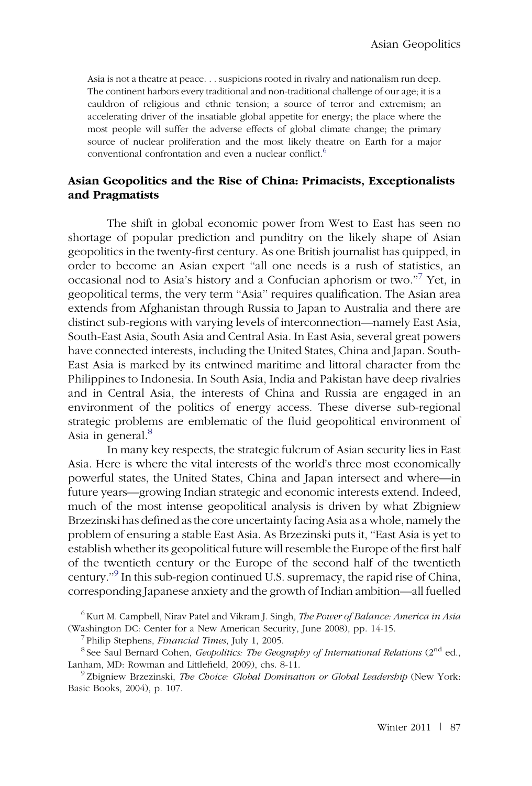Asia is not a theatre at peace. . . suspicions rooted in rivalry and nationalism run deep. The continent harbors every traditional and non-traditional challenge of our age; it is a cauldron of religious and ethnic tension; a source of terror and extremism; an accelerating driver of the insatiable global appetite for energy; the place where the most people will suffer the adverse effects of global climate change; the primary source of nuclear proliferation and the most likely theatre on Earth for a major conventional confrontation and even a nuclear conflict.<sup>6</sup>

# Asian Geopolitics and the Rise of China: Primacists, Exceptionalists and Pragmatists

The shift in global economic power from West to East has seen no shortage of popular prediction and punditry on the likely shape of Asian geopolitics in the twenty-first century. As one British journalist has quipped, in order to become an Asian expert ''all one needs is a rush of statistics, an occasional nod to Asia's history and a Confucian aphorism or two.''7 Yet, in geopolitical terms, the very term ''Asia'' requires qualification. The Asian area extends from Afghanistan through Russia to Japan to Australia and there are distinct sub-regions with varying levels of interconnection—namely East Asia, South-East Asia, South Asia and Central Asia. In East Asia, several great powers have connected interests, including the United States, China and Japan. South-East Asia is marked by its entwined maritime and littoral character from the Philippines to Indonesia. In South Asia, India and Pakistan have deep rivalries and in Central Asia, the interests of China and Russia are engaged in an environment of the politics of energy access. These diverse sub-regional strategic problems are emblematic of the fluid geopolitical environment of Asia in general.<sup>8</sup>

In many key respects, the strategic fulcrum of Asian security lies in East Asia. Here is where the vital interests of the world's three most economically powerful states, the United States, China and Japan intersect and where—in future years—growing Indian strategic and economic interests extend. Indeed, much of the most intense geopolitical analysis is driven by what Zbigniew Brzezinski has defined as the core uncertainty facing Asia as a whole, namely the problem of ensuring a stable East Asia. As Brzezinski puts it, ''East Asia is yet to establish whether its geopolitical future will resemble the Europe of the first half of the twentieth century or the Europe of the second half of the twentieth century.''9 In this sub-region continued U.S. supremacy, the rapid rise of China, corresponding Japanese anxiety and the growth of Indian ambition—all fuelled

 $6$ Kurt M. Campbell, Nirav Patel and Vikram J. Singh, The Power of Balance: America in Asia (Washington DC: Center for a New American Security, June 2008), pp. 14-15.<br><sup>7</sup> Philip Stephens, *Financial Times*, July 1, 2005.<br><sup>8</sup> See Saul Bernard Cohen, *Geopolitics: The Geography of International Relations* (2<sup>nd</sup> e

Lanham, MD: Rowman and Littlefield, 2009), chs. 8-11.<br><sup>9</sup> Zbigniew Brzezinski, *The Choice: Global Domination or Global Leadership* (New York:

Basic Books, 2004), p. 107.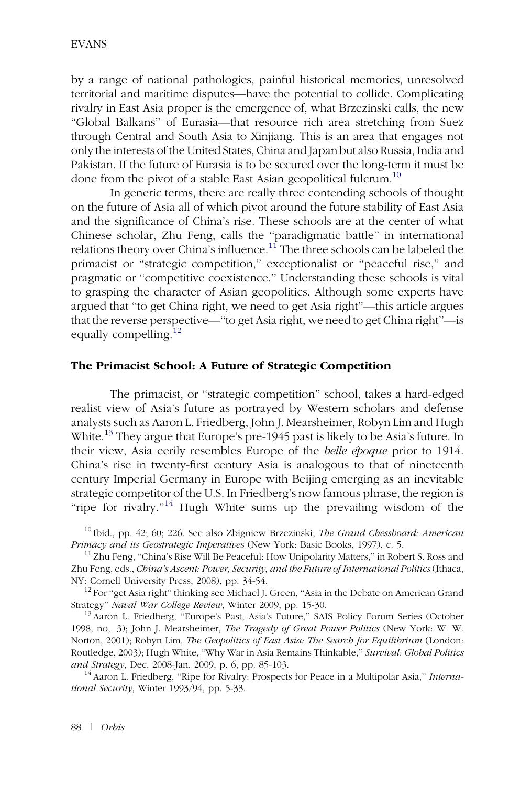by a range of national pathologies, painful historical memories, unresolved territorial and maritime disputes—have the potential to collide. Complicating rivalry in East Asia proper is the emergence of, what Brzezinski calls, the new ''Global Balkans'' of Eurasia—that resource rich area stretching from Suez through Central and South Asia to Xinjiang. This is an area that engages not only the interests of the United States, China and Japan but also Russia, India and Pakistan. If the future of Eurasia is to be secured over the long-term it must be done from the pivot of a stable East Asian geopolitical fulcrum.<sup>10</sup>

In generic terms, there are really three contending schools of thought on the future of Asia all of which pivot around the future stability of East Asia and the significance of China's rise. These schools are at the center of what Chinese scholar, Zhu Feng, calls the ''paradigmatic battle'' in international relations theory over China's influence.<sup>11</sup> The three schools can be labeled the primacist or ''strategic competition,'' exceptionalist or ''peaceful rise,'' and pragmatic or ''competitive coexistence.'' Understanding these schools is vital to grasping the character of Asian geopolitics. Although some experts have argued that ''to get China right, we need to get Asia right''—this article argues that the reverse perspective—''to get Asia right, we need to get China right''—is equally compelling. $^{12}$ 

#### The Primacist School: A Future of Strategic Competition

The primacist, or ''strategic competition'' school, takes a hard-edged realist view of Asia's future as portrayed by Western scholars and defense analysts such as Aaron L. Friedberg, John J. Mearsheimer, Robyn Lim and Hugh White.<sup>13</sup> They argue that Europe's pre-1945 past is likely to be Asia's future. In their view, Asia eerily resembles Europe of the *belle époque* prior to 1914. China's rise in twenty-first century Asia is analogous to that of nineteenth century Imperial Germany in Europe with Beijing emerging as an inevitable strategic competitor of the U.S. In Friedberg's now famous phrase, the region is "ripe for rivalry."<sup>14</sup> Hugh White sums up the prevailing wisdom of the

 $10$  Ibid., pp. 42; 60; 226. See also Zbigniew Brzezinski, The Grand Chessboard: American Primacy and its Geostrategic Imperatives (New York: Basic Books, 1997), c. 5.<br><sup>11</sup> Zhu Feng, "China's Rise Will Be Peaceful: How Unipolarity Matters," in Robert S. Ross and

Zhu Feng, eds., China's Ascent: Power, Security, and the Future of International Politics (Ithaca, NY: Cornell University Press, 2008), pp. 34-54.<br><sup>12</sup> For "get Asia right" thinking see Michael J. Green, "Asia in the Debate on American Grand

Strategy" Naval War College Review, Winter 2009, pp. 15-30.<br><sup>13</sup> Aaron L. Friedberg, "Europe's Past, Asia's Future," SAIS Policy Forum Series (October 1998, no,. 3); John J. Mearsheimer, The Tragedy of Great Power Politics (New York: W. W. Norton, 2001); Robyn Lim, The Geopolitics of East Asia: The Search for Equilibrium (London: Routledge, 2003); Hugh White, ''Why War in Asia Remains Thinkable,'' Survival: Global Politics and Strategy, Dec. 2008-Jan. 2009, p. 6, pp. 85-103.<br><sup>14</sup> Aaron L. Friedberg, "Ripe for Rivalry: Prospects for Peace in a Multipolar Asia," *Interna*-

tional Security, Winter 1993/94, pp. 5-33.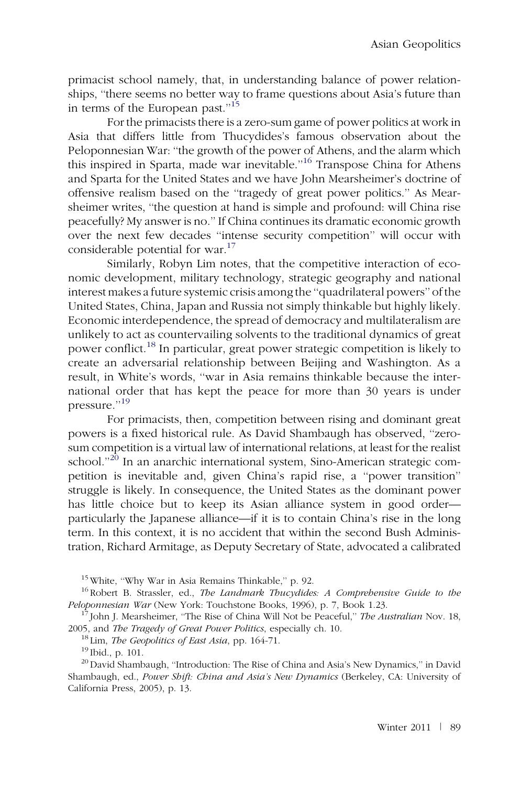primacist school namely, that, in understanding balance of power relationships, ''there seems no better way to frame questions about Asia's future than in terms of the European past."<sup>15</sup>

For the primacists there is a zero-sum game of power politics at work in Asia that differs little from Thucydides's famous observation about the Peloponnesian War: ''the growth of the power of Athens, and the alarm which this inspired in Sparta, made war inevitable.''16 Transpose China for Athens and Sparta for the United States and we have John Mearsheimer's doctrine of offensive realism based on the ''tragedy of great power politics.'' As Mearsheimer writes, ''the question at hand is simple and profound: will China rise peacefully? My answer is no.'' If China continues its dramatic economic growth over the next few decades ''intense security competition'' will occur with considerable potential for war.<sup>17</sup>

Similarly, Robyn Lim notes, that the competitive interaction of economic development, military technology, strategic geography and national interest makes a future systemic crisis among the ''quadrilateral powers'' of the United States, China, Japan and Russia not simply thinkable but highly likely. Economic interdependence, the spread of democracy and multilateralism are unlikely to act as countervailing solvents to the traditional dynamics of great power conflict.<sup>18</sup> In particular, great power strategic competition is likely to create an adversarial relationship between Beijing and Washington. As a result, in White's words, ''war in Asia remains thinkable because the international order that has kept the peace for more than 30 years is under pressure.''<sup>19</sup>

For primacists, then, competition between rising and dominant great powers is a fixed historical rule. As David Shambaugh has observed, ''zerosum competition is a virtual law of international relations, at least for the realist school."<sup>20</sup> In an anarchic international system, Sino-American strategic competition is inevitable and, given China's rapid rise, a ''power transition'' struggle is likely. In consequence, the United States as the dominant power has little choice but to keep its Asian alliance system in good order particularly the Japanese alliance—if it is to contain China's rise in the long term. In this context, it is no accident that within the second Bush Administration, Richard Armitage, as Deputy Secretary of State, advocated a calibrated

<sup>&</sup>lt;sup>15</sup> White, "Why War in Asia Remains Thinkable," p. 92.

 $16$  Robert B. Strassler, ed., The Landmark Thucydides: A Comprehensive Guide to the Peloponnesian War (New York: Touchstone Books, 1996), p. 7, Book 1.23.<br><sup>17</sup> John J. Mearsheimer, "The Rise of China Will Not be Peaceful," *The Australian* Nov. 18,

<sup>2005,</sup> and *The Tragedy of Great Power Politics*, especially ch. 10.<br><sup>18</sup> Lim, *The Geopolitics of East Asia*, pp. 164-71.<br><sup>19</sup> Ibid., p. 101.<br><sup>20</sup> David Shambaugh, "Introduction: The Rise of China and Asia's New Dynamics,

Shambaugh, ed., Power Shift: China and Asia's New Dynamics (Berkeley, CA: University of California Press, 2005), p. 13.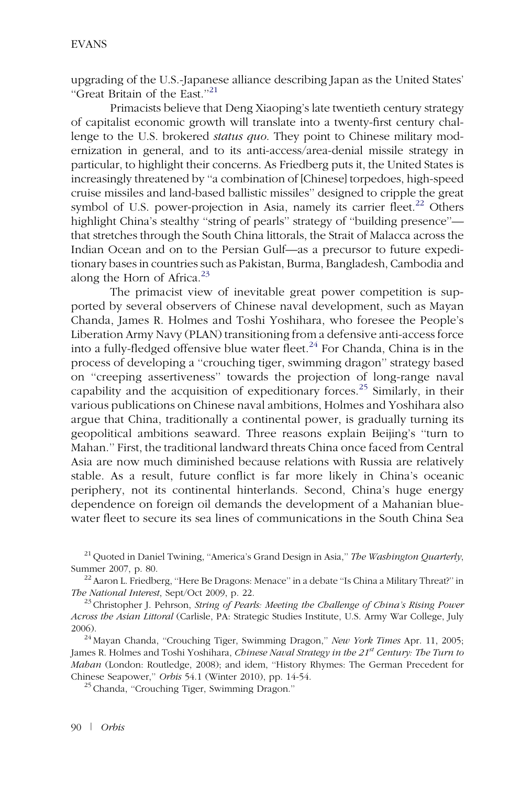upgrading of the U.S.-Japanese alliance describing Japan as the United States' ''Great Britain of the East.''<sup>21</sup>

Primacists believe that Deng Xiaoping's late twentieth century strategy of capitalist economic growth will translate into a twenty-first century challenge to the U.S. brokered status quo. They point to Chinese military modernization in general, and to its anti-access/area-denial missile strategy in particular, to highlight their concerns. As Friedberg puts it, the United States is increasingly threatened by ''a combination of [Chinese] torpedoes, high-speed cruise missiles and land-based ballistic missiles'' designed to cripple the great symbol of U.S. power-projection in Asia, namely its carrier fleet.<sup>22</sup> Others highlight China's stealthy ''string of pearls'' strategy of ''building presence'' that stretches through the South China littorals, the Strait of Malacca across the Indian Ocean and on to the Persian Gulf—as a precursor to future expeditionary bases in countries such as Pakistan, Burma, Bangladesh, Cambodia and along the Horn of Africa. $^{23}$ 

The primacist view of inevitable great power competition is supported by several observers of Chinese naval development, such as Mayan Chanda, James R. Holmes and Toshi Yoshihara, who foresee the People's Liberation Army Navy (PLAN) transitioning from a defensive anti-access force into a fully-fledged offensive blue water fleet.<sup>24</sup> For Chanda, China is in the process of developing a ''crouching tiger, swimming dragon'' strategy based on ''creeping assertiveness'' towards the projection of long-range naval capability and the acquisition of expeditionary forces.<sup>25</sup> Similarly, in their various publications on Chinese naval ambitions, Holmes and Yoshihara also argue that China, traditionally a continental power, is gradually turning its geopolitical ambitions seaward. Three reasons explain Beijing's ''turn to Mahan.'' First, the traditional landward threats China once faced from Central Asia are now much diminished because relations with Russia are relatively stable. As a result, future conflict is far more likely in China's oceanic periphery, not its continental hinterlands. Second, China's huge energy dependence on foreign oil demands the development of a Mahanian bluewater fleet to secure its sea lines of communications in the South China Sea

<sup>&</sup>lt;sup>21</sup> Quoted in Daniel Twining, "America's Grand Design in Asia," The Washington Quarterly, Summer 2007, p. 80.<br><sup>22</sup> Aaron L. Friedberg, "Here Be Dragons: Menace" in a debate "Is China a Military Threat?" in

The National Interest, Sept/Oct 2009, p. 22.<br><sup>23</sup> Christopher J. Pehrson, *String of Pearls: Meeting the Challenge of China's Rising Power* 

Across the Asian Littoral (Carlisle, PA: Strategic Studies Institute, U.S. Army War College, July 2006).<br><sup>24</sup> Mayan Chanda, "Crouching Tiger, Swimming Dragon," *New York Times* Apr. 11, 2005;

James R. Holmes and Toshi Yoshihara, Chinese Naval Strategy in the 21st Century: The Turn to Mahan (London: Routledge, 2008); and idem, ''History Rhymes: The German Precedent for Chinese Seapower,'' Orbis 54.1 (Winter 2010), pp. 14-54. <sup>25</sup> Chanda, ''Crouching Tiger, Swimming Dragon.''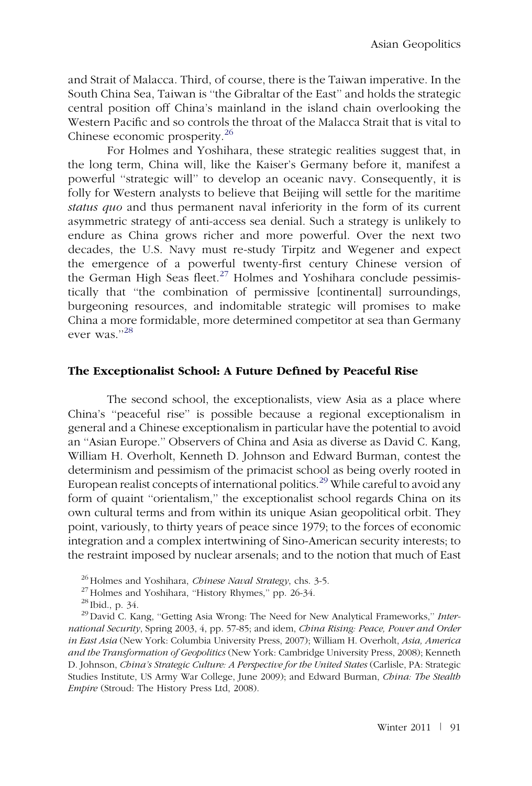and Strait of Malacca. Third, of course, there is the Taiwan imperative. In the South China Sea, Taiwan is ''the Gibraltar of the East'' and holds the strategic central position off China's mainland in the island chain overlooking the Western Pacific and so controls the throat of the Malacca Strait that is vital to Chinese economic prosperity.<sup>26</sup>

For Holmes and Yoshihara, these strategic realities suggest that, in the long term, China will, like the Kaiser's Germany before it, manifest a powerful ''strategic will'' to develop an oceanic navy. Consequently, it is folly for Western analysts to believe that Beijing will settle for the maritime status quo and thus permanent naval inferiority in the form of its current asymmetric strategy of anti-access sea denial. Such a strategy is unlikely to endure as China grows richer and more powerful. Over the next two decades, the U.S. Navy must re-study Tirpitz and Wegener and expect the emergence of a powerful twenty-first century Chinese version of the German High Seas fleet.<sup>27</sup> Holmes and Yoshihara conclude pessimistically that ''the combination of permissive [continental] surroundings, burgeoning resources, and indomitable strategic will promises to make China a more formidable, more determined competitor at sea than Germany ever was."<sup>28</sup>

#### The Exceptionalist School: A Future Defined by Peaceful Rise

The second school, the exceptionalists, view Asia as a place where China's ''peaceful rise'' is possible because a regional exceptionalism in general and a Chinese exceptionalism in particular have the potential to avoid an ''Asian Europe.'' Observers of China and Asia as diverse as David C. Kang, William H. Overholt, Kenneth D. Johnson and Edward Burman, contest the determinism and pessimism of the primacist school as being overly rooted in European realist concepts of international politics.<sup>29</sup> While careful to avoid any form of quaint ''orientalism,'' the exceptionalist school regards China on its own cultural terms and from within its unique Asian geopolitical orbit. They point, variously, to thirty years of peace since 1979; to the forces of economic integration and a complex intertwining of Sino-American security interests; to the restraint imposed by nuclear arsenals; and to the notion that much of East

<sup>&</sup>lt;sup>26</sup> Holmes and Yoshihara, *Chinese Naval Strategy*, chs. 3-5.<br><sup>27</sup> Holmes and Yoshihara, ''History Rhymes,'' pp. 26-34.<br><sup>28</sup> Ibid., p. 34. <sup>29</sup> David C. Kang, ''Getting Asia Wrong: The Need for New Analytical Frameworks, national Security, Spring 2003, 4, pp. 57-85; and idem, China Rising: Peace, Power and Order in East Asia (New York: Columbia University Press, 2007); William H. Overholt, Asia, America and the Transformation of Geopolitics (New York: Cambridge University Press, 2008); Kenneth D. Johnson, China's Strategic Culture: A Perspective for the United States (Carlisle, PA: Strategic Studies Institute, US Army War College, June 2009); and Edward Burman, China: The Stealth Empire (Stroud: The History Press Ltd, 2008).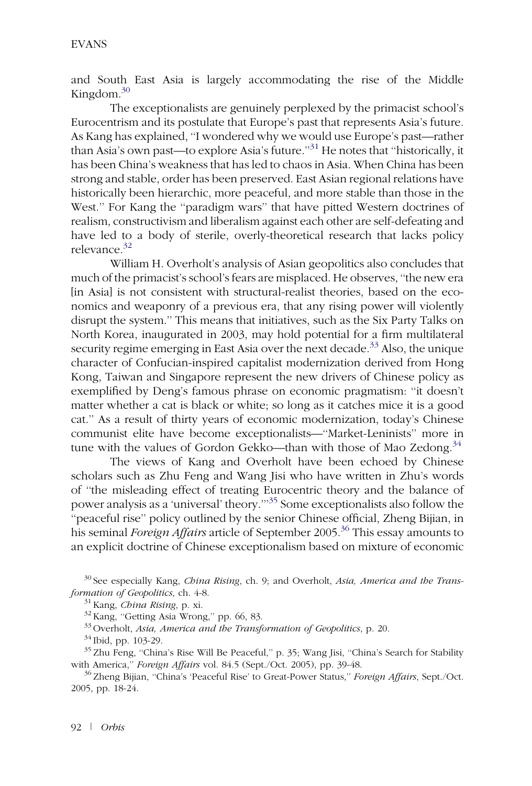and South East Asia is largely accommodating the rise of the Middle Kingdom. $30$ 

The exceptionalists are genuinely perplexed by the primacist school's Eurocentrism and its postulate that Europe's past that represents Asia's future. As Kang has explained, ''I wondered why we would use Europe's past—rather than Asia's own past—to explore Asia's future.''<sup>31</sup> He notes that ''historically, it has been China's weakness that has led to chaos in Asia. When China has been strong and stable, order has been preserved. East Asian regional relations have historically been hierarchic, more peaceful, and more stable than those in the West.'' For Kang the ''paradigm wars'' that have pitted Western doctrines of realism, constructivism and liberalism against each other are self-defeating and have led to a body of sterile, overly-theoretical research that lacks policy relevance<sup>32</sup>

William H. Overholt's analysis of Asian geopolitics also concludes that much of the primacist's school's fears are misplaced. He observes, ''the new era [in Asia] is not consistent with structural-realist theories, based on the economics and weaponry of a previous era, that any rising power will violently disrupt the system.'' This means that initiatives, such as the Six Party Talks on North Korea, inaugurated in 2003, may hold potential for a firm multilateral security regime emerging in East Asia over the next decade.<sup>33</sup> Also, the unique character of Confucian-inspired capitalist modernization derived from Hong Kong, Taiwan and Singapore represent the new drivers of Chinese policy as exemplified by Deng's famous phrase on economic pragmatism: ''it doesn't matter whether a cat is black or white; so long as it catches mice it is a good cat.'' As a result of thirty years of economic modernization, today's Chinese communist elite have become exceptionalists—''Market-Leninists'' more in tune with the values of Gordon Gekko—than with those of Mao Zedong.<sup>34</sup>

The views of Kang and Overholt have been echoed by Chinese scholars such as Zhu Feng and Wang Jisi who have written in Zhu's words of ''the misleading effect of treating Eurocentric theory and the balance of power analysis as a 'universal' theory.'''<sup>35</sup> Some exceptionalists also follow the ''peaceful rise'' policy outlined by the senior Chinese official, Zheng Bijian, in his seminal *Foreign Affairs* article of September 2005.<sup>36</sup> This essay amounts to an explicit doctrine of Chinese exceptionalism based on mixture of economic

 $30$  See especially Kang, *China Rising*, ch. 9; and Overholt, *Asia, America and the Trans*formation of Geopolitics, ch. 4-8.<br><sup>31</sup>Kang, *China Rising*, p. xi.<br><sup>32</sup>Kang, ''Getting Asia Wrong,'' pp. 66, 83.<br><sup>33</sup> Overholt, *Asia, America and the Transformation of Geopolitics*, p. 20.

 $34$  Ibid, pp. 103-29.<br> $35$  Zhu Feng, "China's Rise Will Be Peaceful," p. 35; Wang Jisi, "China's Search for Stability with America,'' Foreign Affairs vol. 84.5 (Sept./Oct. 2005), pp. 39-48.

<sup>36</sup> Zheng Bijian, "China's 'Peaceful Rise' to Great-Power Status," Foreign Affairs, Sept./Oct. 2005, pp. 18-24.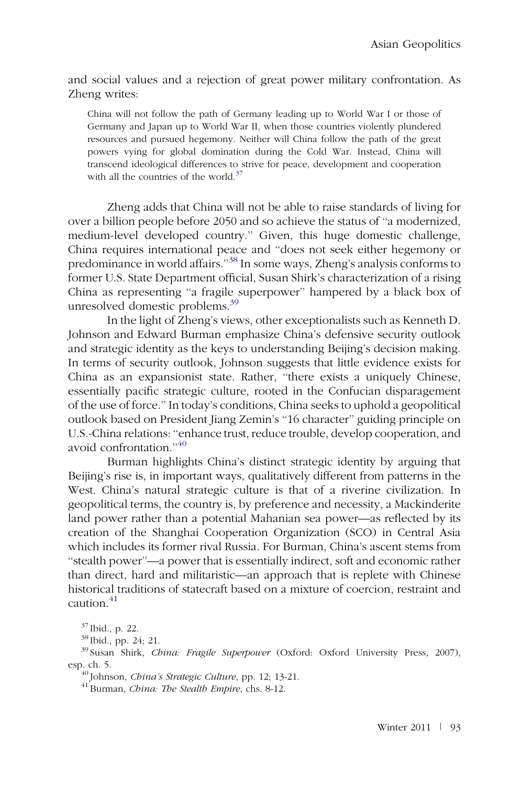and social values and a rejection of great power military confrontation. As Zheng writes:

China will not follow the path of Germany leading up to World War I or those of Germany and Japan up to World War II, when those countries violently plundered resources and pursued hegemony. Neither will China follow the path of the great powers vying for global domination during the Cold War. Instead, China will transcend ideological differences to strive for peace, development and cooperation with all the countries of the world.<sup>37</sup>

Zheng adds that China will not be able to raise standards of living for over a billion people before 2050 and so achieve the status of ''a modernized, medium-level developed country.'' Given, this huge domestic challenge, China requires international peace and ''does not seek either hegemony or predominance in world affairs.''<sup>38</sup> In some ways, Zheng's analysis conforms to former U.S. State Department official, Susan Shirk's characterization of a rising China as representing ''a fragile superpower'' hampered by a black box of unresolved domestic problems.<sup>39</sup>

In the light of Zheng's views, other exceptionalists such as Kenneth D. Johnson and Edward Burman emphasize China's defensive security outlook and strategic identity as the keys to understanding Beijing's decision making. In terms of security outlook, Johnson suggests that little evidence exists for China as an expansionist state. Rather, ''there exists a uniquely Chinese, essentially pacific strategic culture, rooted in the Confucian disparagement of the use of force.'' In today's conditions, China seeks to uphold a geopolitical outlook based on President Jiang Zemin's ''16 character'' guiding principle on U.S.-China relations: ''enhance trust, reduce trouble, develop cooperation, and avoid confrontation.''<sup>40</sup>

Burman highlights China's distinct strategic identity by arguing that Beijing's rise is, in important ways, qualitatively different from patterns in the West. China's natural strategic culture is that of a riverine civilization. In geopolitical terms, the country is, by preference and necessity, a Mackinderite land power rather than a potential Mahanian sea power—as reflected by its creation of the Shanghai Cooperation Organization (SCO) in Central Asia which includes its former rival Russia. For Burman, China's ascent stems from ''stealth power''—a power that is essentially indirect, soft and economic rather than direct, hard and militaristic—an approach that is replete with Chinese historical traditions of statecraft based on a mixture of coercion, restraint and  $caution<sup>41</sup>$ 

<sup>&</sup>lt;sup>37</sup> Ibid., p. 22.<br><sup>38</sup> Ibid., pp. 24; 21.<br><sup>39</sup> Susan Shirk, *China: Fragile Superpower* (Oxford: Oxford University Press, 2007), esp. ch. 5.<br><sup>40</sup> Johnson, *China's Strategic Culture*, pp. 12; 13-21.<br><sup>41</sup> Burman, *China: The Stealth Empire*, chs. 8-12.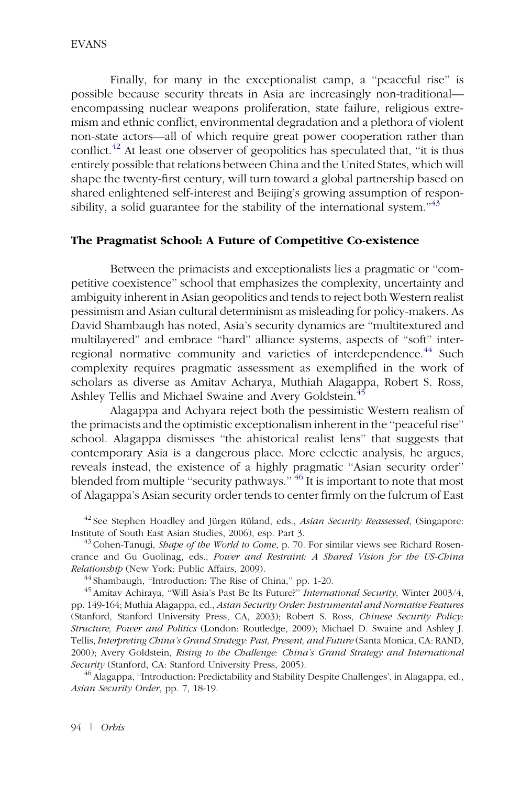Finally, for many in the exceptionalist camp, a "peaceful rise" is possible because security threats in Asia are increasingly non-traditional encompassing nuclear weapons proliferation, state failure, religious extremism and ethnic conflict, environmental degradation and a plethora of violent non-state actors—all of which require great power cooperation rather than conflict.<sup> $42$ </sup> At least one observer of geopolitics has speculated that, "it is thus entirely possible that relations between China and the United States, which will shape the twenty-first century, will turn toward a global partnership based on shared enlightened self-interest and Beijing's growing assumption of responsibility, a solid guarantee for the stability of the international system."<sup>43</sup>

#### The Pragmatist School: A Future of Competitive Co-existence

Between the primacists and exceptionalists lies a pragmatic or ''competitive coexistence'' school that emphasizes the complexity, uncertainty and ambiguity inherent in Asian geopolitics and tends to reject both Western realist pessimism and Asian cultural determinism as misleading for policy-makers. As David Shambaugh has noted, Asia's security dynamics are ''multitextured and multilayered" and embrace "hard" alliance systems, aspects of "soft" interregional normative community and varieties of interdependence.<sup>44</sup> Such complexity requires pragmatic assessment as exemplified in the work of scholars as diverse as Amitav Acharya, Muthiah Alagappa, Robert S. Ross, Ashley Tellis and Michael Swaine and Avery Goldstein.<sup>4</sup>

Alagappa and Achyara reject both the pessimistic Western realism of the primacists and the optimistic exceptionalism inherent in the ''peaceful rise'' school. Alagappa dismisses ''the ahistorical realist lens'' that suggests that contemporary Asia is a dangerous place. More eclectic analysis, he argues, reveals instead, the existence of a highly pragmatic ''Asian security order'' blended from multiple "security pathways."<sup>46</sup> It is important to note that most of Alagappa's Asian security order tends to center firmly on the fulcrum of East

 $42$  See Stephen Hoadley and Jürgen Rüland, eds., Asian Security Reassessed, (Singapore: Institute of South East Asian Studies, 2006), esp. Part 3.

 $43$  Cohen-Tanugi, *Shape of the World to Come*, p. 70. For similar views see Richard Rosencrance and Gu Guolinag, eds., Power and Restraint: A Shared Vision for the US-China Relationship (New York: Public Affairs, 2009).<br><sup>44</sup> Shambaugh, "Introduction: The Rise of China," pp. 1-20.

 $45$  Amitav Achiraya, "Will Asia's Past Be Its Future?" *International Security*, Winter 2003/4, pp. 149-164; Muthia Alagappa, ed., Asian Security Order: Instrumental and Normative Features (Stanford, Stanford University Press, CA, 2003); Robert S. Ross, Chinese Security Policy: Structure, Power and Politics (London: Routledge, 2009); Michael D. Swaine and Ashley J. Tellis, Interpreting China's Grand Strategy: Past, Present, and Future (Santa Monica, CA: RAND, 2000); Avery Goldstein, Rising to the Challenge: China's Grand Strategy and International Security (Stanford, CA: Stanford University Press, 2005).

<sup>46</sup> Alagappa, "Introduction: Predictability and Stability Despite Challenges', in Alagappa, ed., Asian Security Order, pp. 7, 18-19.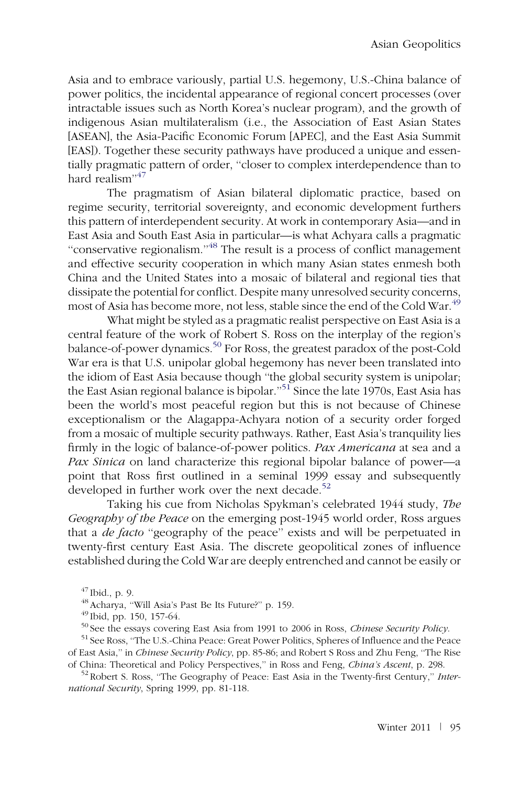Asia and to embrace variously, partial U.S. hegemony, U.S.-China balance of power politics, the incidental appearance of regional concert processes (over intractable issues such as North Korea's nuclear program), and the growth of indigenous Asian multilateralism (i.e., the Association of East Asian States [ASEAN], the Asia-Pacific Economic Forum [APEC], and the East Asia Summit [EAS]). Together these security pathways have produced a unique and essentially pragmatic pattern of order, ''closer to complex interdependence than to hard realism"<sup>47</sup>

The pragmatism of Asian bilateral diplomatic practice, based on regime security, territorial sovereignty, and economic development furthers this pattern of interdependent security. At work in contemporary Asia—and in East Asia and South East Asia in particular—is what Achyara calls a pragmatic ''conservative regionalism.''<sup>48</sup> The result is a process of conflict management and effective security cooperation in which many Asian states enmesh both China and the United States into a mosaic of bilateral and regional ties that dissipate the potential for conflict. Despite many unresolved security concerns, most of Asia has become more, not less, stable since the end of the Cold War.<sup>49</sup>

What might be styled as a pragmatic realist perspective on East Asia is a central feature of the work of Robert S. Ross on the interplay of the region's balance-of-power dynamics.50 For Ross, the greatest paradox of the post-Cold War era is that U.S. unipolar global hegemony has never been translated into the idiom of East Asia because though ''the global security system is unipolar; the East Asian regional balance is bipolar."<sup>51</sup> Since the late 1970s, East Asia has been the world's most peaceful region but this is not because of Chinese exceptionalism or the Alagappa-Achyara notion of a security order forged from a mosaic of multiple security pathways. Rather, East Asia's tranquility lies firmly in the logic of balance-of-power politics. Pax Americana at sea and a Pax Sinica on land characterize this regional bipolar balance of power—a point that Ross first outlined in a seminal 1999 essay and subsequently developed in further work over the next decade.<sup>52</sup>

Taking his cue from Nicholas Spykman's celebrated 1944 study, The Geography of the Peace on the emerging post-1945 world order, Ross argues that a de facto ''geography of the peace'' exists and will be perpetuated in twenty-first century East Asia. The discrete geopolitical zones of influence established during the Cold War are deeply entrenched and cannot be easily or

national Security, Spring 1999, pp. 81-118.

<sup>&</sup>lt;sup>47</sup> Ibid., p. 9.<br><sup>48</sup> Acharya, ''Will Asia's Past Be Its Future?'' p. 159.<br><sup>49</sup> Ibid, pp. 150, 157-64.

 $50$  See the essays covering East Asia from 1991 to 2006 in Ross, *Chinese Security Policy*.  $51$  See Ross, "The U.S.-China Peace: Great Power Politics, Spheres of Influence and the Peace

of East Asia,'' in Chinese Security Policy, pp. 85-86; and Robert S Ross and Zhu Feng, ''The Rise of China: Theoretical and Policy Perspectives," in Ross and Feng, *China's Ascent*, p. 298.<br><sup>52</sup> Robert S. Ross, "The Geography of Peace: East Asia in the Twenty-first Century," *Inter-*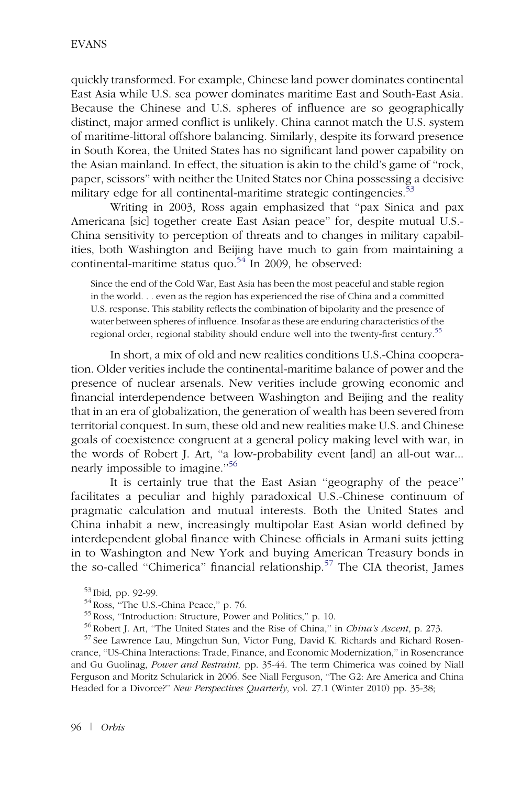quickly transformed. For example, Chinese land power dominates continental East Asia while U.S. sea power dominates maritime East and South-East Asia. Because the Chinese and U.S. spheres of influence are so geographically distinct, major armed conflict is unlikely. China cannot match the U.S. system of maritime-littoral offshore balancing. Similarly, despite its forward presence in South Korea, the United States has no significant land power capability on the Asian mainland. In effect, the situation is akin to the child's game of ''rock, paper, scissors'' with neither the United States nor China possessing a decisive military edge for all continental-maritime strategic contingencies.<sup>53</sup>

Writing in 2003, Ross again emphasized that ''pax Sinica and pax Americana [sic] together create East Asian peace'' for, despite mutual U.S.- China sensitivity to perception of threats and to changes in military capabilities, both Washington and Beijing have much to gain from maintaining a continental-maritime status quo.<sup>54</sup> In 2009, he observed:

Since the end of the Cold War, East Asia has been the most peaceful and stable region in the world. . . even as the region has experienced the rise of China and a committed U.S. response. This stability reflects the combination of bipolarity and the presence of water between spheres of influence. Insofar as these are enduring characteristics of the regional order, regional stability should endure well into the twenty-first century.<sup>55</sup>

In short, a mix of old and new realities conditions U.S.-China cooperation. Older verities include the continental-maritime balance of power and the presence of nuclear arsenals. New verities include growing economic and financial interdependence between Washington and Beijing and the reality that in an era of globalization, the generation of wealth has been severed from territorial conquest. In sum, these old and new realities make U.S. and Chinese goals of coexistence congruent at a general policy making level with war, in the words of Robert J. Art, ''a low-probability event [and] an all-out war... nearly impossible to imagine."<sup>56</sup>

It is certainly true that the East Asian ''geography of the peace'' facilitates a peculiar and highly paradoxical U.S.-Chinese continuum of pragmatic calculation and mutual interests. Both the United States and China inhabit a new, increasingly multipolar East Asian world defined by interdependent global finance with Chinese officials in Armani suits jetting in to Washington and New York and buying American Treasury bonds in the so-called "Chimerica" financial relationship.<sup>57</sup> The CIA theorist, James

- <sup>55</sup> Ross, "Introduction: Structure, Power and Politics," p. 10.
- 

<sup>56</sup> Robert J. Art, "The United States and the Rise of China," in *China's Ascent*, p. 273.<br><sup>57</sup> See Lawrence Lau, Mingchun Sun, Victor Fung, David K. Richards and Richard Rosencrance, ''US-China Interactions: Trade, Finance, and Economic Modernization,'' in Rosencrance and Gu Guolinag, Power and Restraint, pp. 35-44. The term Chimerica was coined by Niall Ferguson and Moritz Schularick in 2006. See Niall Ferguson, ''The G2: Are America and China Headed for a Divorce?" New Perspectives Quarterly, vol. 27.1 (Winter 2010) pp. 35-38;

 $^{53}$  Ibid, pp. 92-99.<br> $^{54}$  Ross, "The U.S.-China Peace," p. 76.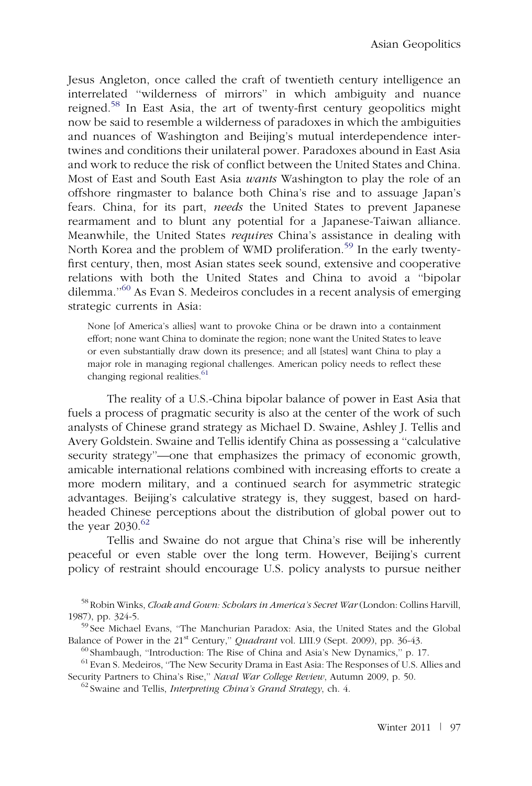Jesus Angleton, once called the craft of twentieth century intelligence an interrelated ''wilderness of mirrors'' in which ambiguity and nuance reigned.<sup>58</sup> In East Asia, the art of twenty-first century geopolitics might now be said to resemble a wilderness of paradoxes in which the ambiguities and nuances of Washington and Beijing's mutual interdependence intertwines and conditions their unilateral power. Paradoxes abound in East Asia and work to reduce the risk of conflict between the United States and China. Most of East and South East Asia wants Washington to play the role of an offshore ringmaster to balance both China's rise and to assuage Japan's fears. China, for its part, needs the United States to prevent Japanese rearmament and to blunt any potential for a Japanese-Taiwan alliance. Meanwhile, the United States requires China's assistance in dealing with North Korea and the problem of WMD proliferation.<sup>59</sup> In the early twentyfirst century, then, most Asian states seek sound, extensive and cooperative relations with both the United States and China to avoid a ''bipolar dilemma."<sup>60</sup> As Evan S. Medeiros concludes in a recent analysis of emerging strategic currents in Asia:

None [of America's allies] want to provoke China or be drawn into a containment effort; none want China to dominate the region; none want the United States to leave or even substantially draw down its presence; and all [states] want China to play a major role in managing regional challenges. American policy needs to reflect these changing regional realities. $61$ 

The reality of a U.S.-China bipolar balance of power in East Asia that fuels a process of pragmatic security is also at the center of the work of such analysts of Chinese grand strategy as Michael D. Swaine, Ashley J. Tellis and Avery Goldstein. Swaine and Tellis identify China as possessing a ''calculative security strategy''—one that emphasizes the primacy of economic growth, amicable international relations combined with increasing efforts to create a more modern military, and a continued search for asymmetric strategic advantages. Beijing's calculative strategy is, they suggest, based on hardheaded Chinese perceptions about the distribution of global power out to the year  $2030$ .<sup>62</sup>

Tellis and Swaine do not argue that China's rise will be inherently peaceful or even stable over the long term. However, Beijing's current policy of restraint should encourage U.S. policy analysts to pursue neither

 $62$  Swaine and Tellis, *Interpreting China's Grand Strategy*, ch. 4.

<sup>&</sup>lt;sup>58</sup> Robin Winks, *Cloak and Gown: Scholars in America's Secret War* (London: Collins Harvill, 1987), pp. 324-5.

<sup>59</sup> See Michael Evans, ''The Manchurian Paradox: Asia, the United States and the Global Balance of Power in the  $21^{st}$  Century," *Quadrant* vol. LIII.9 (Sept. 2009), pp. 36-43.

 $60$  Shambaugh, "Introduction: The Rise of China and Asia's New Dynamics," p. 17.

<sup>61</sup> Evan S. Medeiros, ''The New Security Drama in East Asia: The Responses of U.S. Allies and Security Partners to China's Rise,'' Naval War College Review, Autumn 2009, p. 50.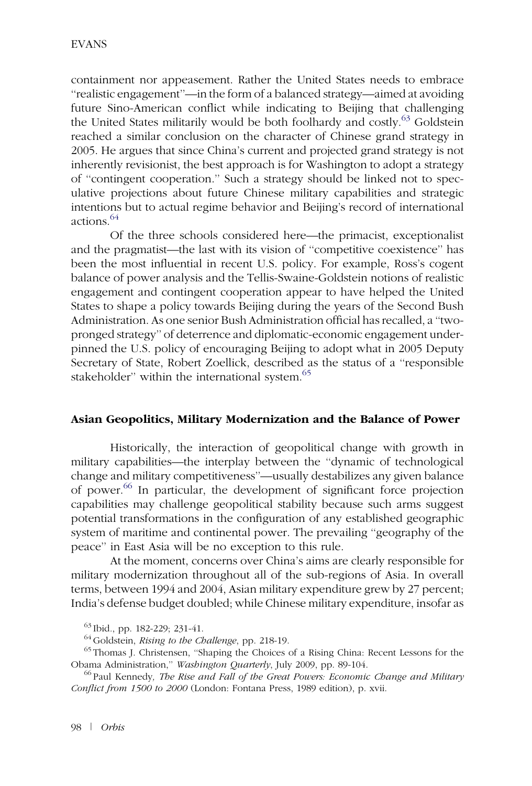containment nor appeasement. Rather the United States needs to embrace ''realistic engagement''—in the form of a balanced strategy—aimed at avoiding future Sino-American conflict while indicating to Beijing that challenging the United States militarily would be both foolhardy and costly.<sup>63</sup> Goldstein reached a similar conclusion on the character of Chinese grand strategy in 2005. He argues that since China's current and projected grand strategy is not inherently revisionist, the best approach is for Washington to adopt a strategy of ''contingent cooperation.'' Such a strategy should be linked not to speculative projections about future Chinese military capabilities and strategic intentions but to actual regime behavior and Beijing's record of international actions.64

Of the three schools considered here—the primacist, exceptionalist and the pragmatist—the last with its vision of ''competitive coexistence'' has been the most influential in recent U.S. policy. For example, Ross's cogent balance of power analysis and the Tellis-Swaine-Goldstein notions of realistic engagement and contingent cooperation appear to have helped the United States to shape a policy towards Beijing during the years of the Second Bush Administration. As one senior Bush Administration official has recalled, a ''twopronged strategy'' of deterrence and diplomatic-economic engagement underpinned the U.S. policy of encouraging Beijing to adopt what in 2005 Deputy Secretary of State, Robert Zoellick, described as the status of a ''responsible stakeholder" within the international system.<sup>65</sup>

#### Asian Geopolitics, Military Modernization and the Balance of Power

Historically, the interaction of geopolitical change with growth in military capabilities—the interplay between the ''dynamic of technological change and military competitiveness''—usually destabilizes any given balance of power.<sup>66</sup> In particular, the development of significant force projection capabilities may challenge geopolitical stability because such arms suggest potential transformations in the configuration of any established geographic system of maritime and continental power. The prevailing ''geography of the peace'' in East Asia will be no exception to this rule.

At the moment, concerns over China's aims are clearly responsible for military modernization throughout all of the sub-regions of Asia. In overall terms, between 1994 and 2004, Asian military expenditure grew by 27 percent; India's defense budget doubled; while Chinese military expenditure, insofar as

<sup>63</sup> Ibid., pp. 182-229; 231-41.

<sup>&</sup>lt;sup>64</sup> Goldstein, *Rising to the Challenge*, pp. 218-19.

<sup>&</sup>lt;sup>65</sup> Thomas J. Christensen, "Shaping the Choices of a Rising China: Recent Lessons for the Obama Administration,'' Washington Quarterly, July 2009, pp. 89-104.

 $66$  Paul Kennedy, The Rise and Fall of the Great Powers: Economic Change and Military Conflict from 1500 to 2000 (London: Fontana Press, 1989 edition), p. xvii.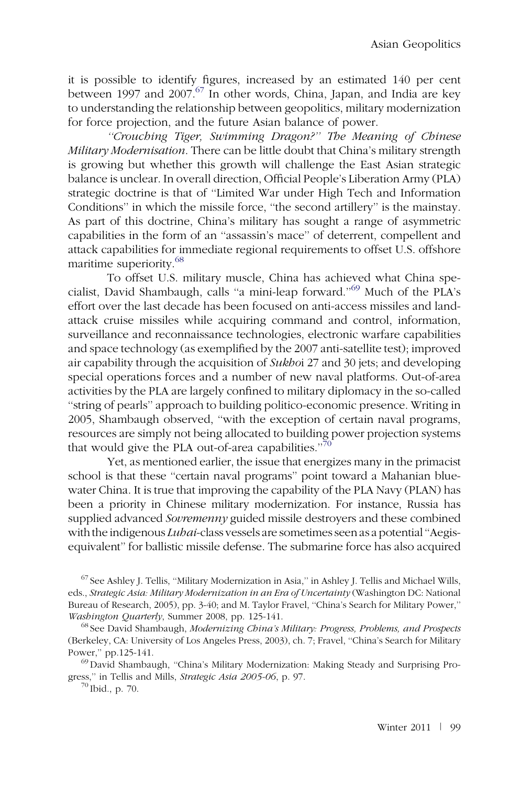it is possible to identify figures, increased by an estimated 140 per cent between 1997 and 2007.<sup>67</sup> In other words, China, Japan, and India are key to understanding the relationship between geopolitics, military modernization for force projection, and the future Asian balance of power.

''Crouching Tiger, Swimming Dragon?'' The Meaning of Chinese Military Modernisation. There can be little doubt that China's military strength is growing but whether this growth will challenge the East Asian strategic balance is unclear. In overall direction, Official People's Liberation Army (PLA) strategic doctrine is that of ''Limited War under High Tech and Information Conditions'' in which the missile force, ''the second artillery'' is the mainstay. As part of this doctrine, China's military has sought a range of asymmetric capabilities in the form of an ''assassin's mace'' of deterrent, compellent and attack capabilities for immediate regional requirements to offset U.S. offshore maritime superiority.<sup>68</sup>

To offset U.S. military muscle, China has achieved what China specialist, David Shambaugh, calls ''a mini-leap forward.''69 Much of the PLA's effort over the last decade has been focused on anti-access missiles and landattack cruise missiles while acquiring command and control, information, surveillance and reconnaissance technologies, electronic warfare capabilities and space technology (as exemplified by the 2007 anti-satellite test); improved air capability through the acquisition of Sukhoi 27 and 30 jets; and developing special operations forces and a number of new naval platforms. Out-of-area activities by the PLA are largely confined to military diplomacy in the so-called ''string of pearls'' approach to building politico-economic presence. Writing in 2005, Shambaugh observed, ''with the exception of certain naval programs, resources are simply not being allocated to building power projection systems that would give the PLA out-of-area capabilities." $70$ 

Yet, as mentioned earlier, the issue that energizes many in the primacist school is that these ''certain naval programs'' point toward a Mahanian bluewater China. It is true that improving the capability of the PLA Navy (PLAN) has been a priority in Chinese military modernization. For instance, Russia has supplied advanced Sovremenny guided missile destroyers and these combined with the indigenous *Lubai*-class vessels are sometimes seen as a potential "Aegisequivalent'' for ballistic missile defense. The submarine force has also acquired

 $67$  See Ashley J. Tellis, "Military Modernization in Asia," in Ashley J. Tellis and Michael Wills, eds., Strategic Asia: Military Modernization in an Era of Uncertainty (Washington DC: National Bureau of Research, 2005), pp. 3-40; and M. Taylor Fravel, ''China's Search for Military Power,'' Washington Quarterly, Summer 2008, pp. 125-141.

<sup>68</sup> See David Shambaugh, *Modernizing China's Military: Progress, Problems, and Prospects* (Berkeley, CA: University of Los Angeles Press, 2003), ch. 7; Fravel, ''China's Search for Military Power,'' pp.125-141.

<sup>69</sup> David Shambaugh, "China's Military Modernization: Making Steady and Surprising Progress," in Tellis and Mills, *Strategic Asia 2005-06*, p. 97.<br><sup>70</sup> Ibid., p. 70.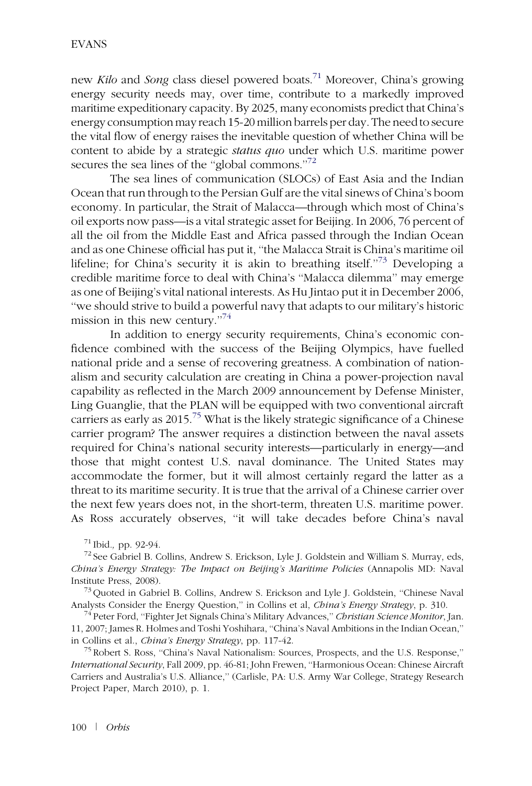new Kilo and Song class diesel powered boats.71 Moreover, China's growing energy security needs may, over time, contribute to a markedly improved maritime expeditionary capacity. By 2025, many economists predict that China's energy consumption may reach 15-20 million barrels per day. The need to secure the vital flow of energy raises the inevitable question of whether China will be content to abide by a strategic status quo under which U.S. maritime power secures the sea lines of the "global commons."<sup>72</sup>

The sea lines of communication (SLOCs) of East Asia and the Indian Ocean that run through to the Persian Gulf are the vital sinews of China's boom economy. In particular, the Strait of Malacca—through which most of China's oil exports now pass—is a vital strategic asset for Beijing. In 2006, 76 percent of all the oil from the Middle East and Africa passed through the Indian Ocean and as one Chinese official has put it, ''the Malacca Strait is China's maritime oil lifeline; for China's security it is akin to breathing itself."<sup>73</sup> Developing a credible maritime force to deal with China's ''Malacca dilemma'' may emerge as one of Beijing's vital national interests. As Hu Jintao put it in December 2006, ''we should strive to build a powerful navy that adapts to our military's historic mission in this new century. $174$ 

In addition to energy security requirements, China's economic confidence combined with the success of the Beijing Olympics, have fuelled national pride and a sense of recovering greatness. A combination of nationalism and security calculation are creating in China a power-projection naval capability as reflected in the March 2009 announcement by Defense Minister, Ling Guanglie, that the PLAN will be equipped with two conventional aircraft carriers as early as 2015.75 What is the likely strategic significance of a Chinese carrier program? The answer requires a distinction between the naval assets required for China's national security interests—particularly in energy—and those that might contest U.S. naval dominance. The United States may accommodate the former, but it will almost certainly regard the latter as a threat to its maritime security. It is true that the arrival of a Chinese carrier over the next few years does not, in the short-term, threaten U.S. maritime power. As Ross accurately observes, ''it will take decades before China's naval

<sup>71</sup> Ibid., pp. 92-94.<br><sup>72</sup> See Gabriel B. Collins, Andrew S. Erickson, Lyle J. Goldstein and William S. Murray, eds, China's Energy Strategy: The Impact on Beijing's Maritime Policies (Annapolis MD: Naval Institute Press, 2008). <sup>73</sup> Quoted in Gabriel B. Collins, Andrew S. Erickson and Lyle J. Goldstein, ''Chinese Naval

Analysts Consider the Energy Question," in Collins et al, China's Energy Strategy, p. 310.

<sup>74</sup> Peter Ford, "Fighter Jet Signals China's Military Advances," *Christian Science Monitor*, Jan. 11, 2007; James R. Holmes and Toshi Yoshihara, ''China's Naval Ambitions in the Indian Ocean,''

in Collins et al., *China's Energy Strategy*, pp. 117-42.<br><sup>75</sup> Robert S. Ross, "China's Naval Nationalism: Sources, Prospects, and the U.S. Response," International Security, Fall 2009, pp. 46-81; John Frewen, ''Harmonious Ocean: Chinese Aircraft Carriers and Australia's U.S. Alliance,'' (Carlisle, PA: U.S. Army War College, Strategy Research Project Paper, March 2010), p. 1.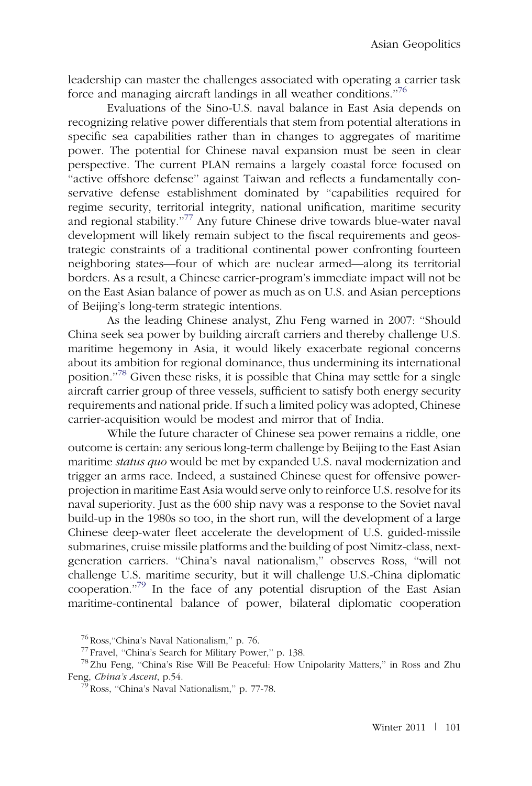leadership can master the challenges associated with operating a carrier task force and managing aircraft landings in all weather conditions.''<sup>76</sup>

Evaluations of the Sino-U.S. naval balance in East Asia depends on recognizing relative power differentials that stem from potential alterations in specific sea capabilities rather than in changes to aggregates of maritime power. The potential for Chinese naval expansion must be seen in clear perspective. The current PLAN remains a largely coastal force focused on ''active offshore defense'' against Taiwan and reflects a fundamentally conservative defense establishment dominated by ''capabilities required for regime security, territorial integrity, national unification, maritime security and regional stability."<sup>77</sup> Any future Chinese drive towards blue-water naval development will likely remain subject to the fiscal requirements and geostrategic constraints of a traditional continental power confronting fourteen neighboring states—four of which are nuclear armed—along its territorial borders. As a result, a Chinese carrier-program's immediate impact will not be on the East Asian balance of power as much as on U.S. and Asian perceptions of Beijing's long-term strategic intentions.

As the leading Chinese analyst, Zhu Feng warned in 2007: ''Should China seek sea power by building aircraft carriers and thereby challenge U.S. maritime hegemony in Asia, it would likely exacerbate regional concerns about its ambition for regional dominance, thus undermining its international position.''78 Given these risks, it is possible that China may settle for a single aircraft carrier group of three vessels, sufficient to satisfy both energy security requirements and national pride. If such a limited policy was adopted, Chinese carrier-acquisition would be modest and mirror that of India.

While the future character of Chinese sea power remains a riddle, one outcome is certain: any serious long-term challenge by Beijing to the East Asian maritime status quo would be met by expanded U.S. naval modernization and trigger an arms race. Indeed, a sustained Chinese quest for offensive powerprojection in maritime East Asia would serve only to reinforce U.S. resolve for its naval superiority. Just as the 600 ship navy was a response to the Soviet naval build-up in the 1980s so too, in the short run, will the development of a large Chinese deep-water fleet accelerate the development of U.S. guided-missile submarines, cruise missile platforms and the building of post Nimitz-class, nextgeneration carriers. "China's naval nationalism," observes Ross, "will not challenge U.S. maritime security, but it will challenge U.S.-China diplomatic cooperation.''79 In the face of any potential disruption of the East Asian maritime-continental balance of power, bilateral diplomatic cooperation

<sup>&</sup>lt;sup>76</sup> Ross, "China's Naval Nationalism," p. 76.<br><sup>77</sup> Fravel, "China's Search for Military Power," p. 138.<br><sup>78</sup> Zhu Feng, ''China's Rise Will Be Peaceful: How Unipolarity Matters,'' in Ross and Zhu Feng, *China's Ascent*, p

 $^{79}$  Ross, "China's Naval Nationalism," p. 77-78.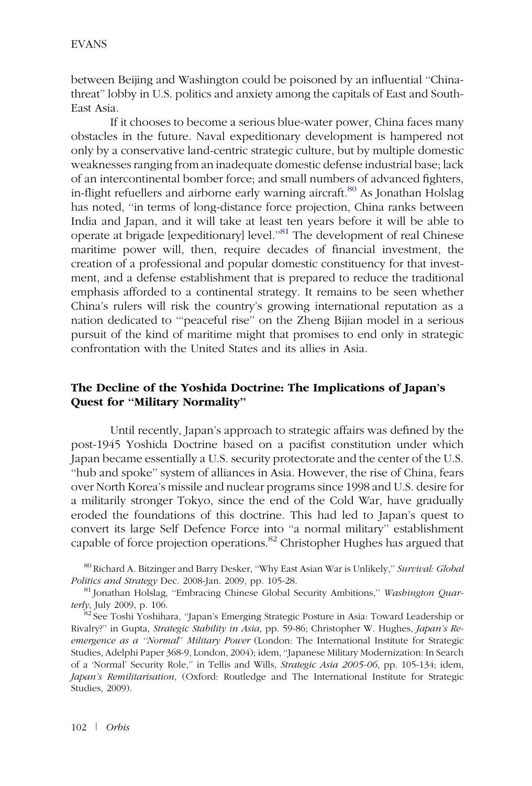between Beijing and Washington could be poisoned by an influential ''Chinathreat'' lobby in U.S. politics and anxiety among the capitals of East and South-East Asia.

If it chooses to become a serious blue-water power, China faces many obstacles in the future. Naval expeditionary development is hampered not only by a conservative land-centric strategic culture, but by multiple domestic weaknesses ranging from an inadequate domestic defense industrial base; lack of an intercontinental bomber force; and small numbers of advanced fighters, in-flight refuellers and airborne early warning aircraft.<sup>80</sup> As Jonathan Holslag has noted, ''in terms of long-distance force projection, China ranks between India and Japan, and it will take at least ten years before it will be able to operate at brigade [expeditionary] level."<sup>81</sup> The development of real Chinese maritime power will, then, require decades of financial investment, the creation of a professional and popular domestic constituency for that investment, and a defense establishment that is prepared to reduce the traditional emphasis afforded to a continental strategy. It remains to be seen whether China's rulers will risk the country's growing international reputation as a nation dedicated to '''peaceful rise'' on the Zheng Bijian model in a serious pursuit of the kind of maritime might that promises to end only in strategic confrontation with the United States and its allies in Asia.

# The Decline of the Yoshida Doctrine: The Implications of Japan's Quest for ''Military Normality''

Until recently, Japan's approach to strategic affairs was defined by the post-1945 Yoshida Doctrine based on a pacifist constitution under which Japan became essentially a U.S. security protectorate and the center of the U.S. "hub and spoke" system of alliances in Asia. However, the rise of China, fears over North Korea's missile and nuclear programs since 1998 and U.S. desire for a militarily stronger Tokyo, since the end of the Cold War, have gradually eroded the foundations of this doctrine. This had led to Japan's quest to convert its large Self Defence Force into ''a normal military'' establishment capable of force projection operations.82 Christopher Hughes has argued that

<sup>80</sup> Richard A. Bitzinger and Barry Desker, "Why East Asian War is Unlikely," Survival: Global Politics and Strategy Dec. 2008-Jan. 2009, pp. 105-28.<br><sup>81</sup> Jonathan Holslag, "Embracing Chinese Global Security Ambitions," *Washington Quar-*

terly, July 2009, p. 106.

<sup>82</sup> See Toshi Yoshihara, ''Japan's Emerging Strategic Posture in Asia: Toward Leadership or Rivalry?'' in Gupta, Strategic Stability in Asia, pp. 59-86; Christopher W. Hughes, Japan's Reemergence as a "Normal" Military Power (London: The International Institute for Strategic Studies, Adelphi Paper 368-9, London, 2004); idem, ''Japanese Military Modernization: In Search of a 'Normal' Security Role,'' in Tellis and Wills, Strategic Asia 2005-06, pp. 105-134; idem, Japan's Remilitarisation, (Oxford: Routledge and The International Institute for Strategic Studies, 2009).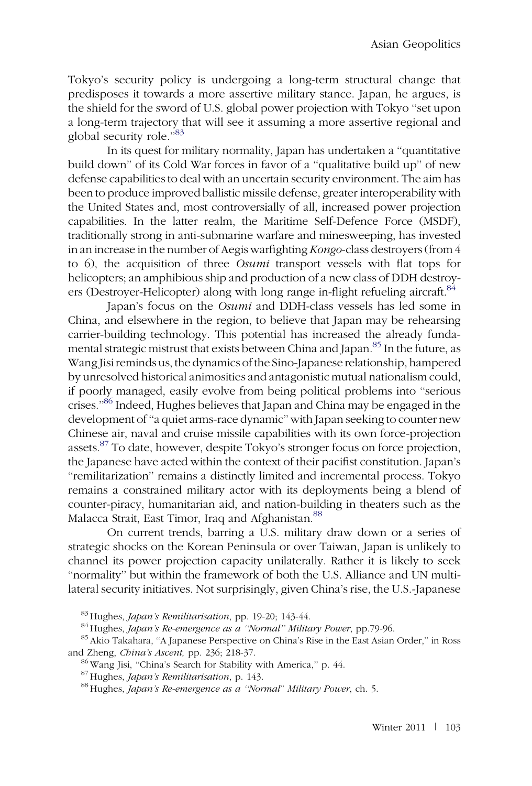Tokyo's security policy is undergoing a long-term structural change that predisposes it towards a more assertive military stance. Japan, he argues, is the shield for the sword of U.S. global power projection with Tokyo ''set upon a long-term trajectory that will see it assuming a more assertive regional and global security role."<sup>83</sup>

In its quest for military normality, Japan has undertaken a ''quantitative build down'' of its Cold War forces in favor of a ''qualitative build up'' of new defense capabilities to deal with an uncertain security environment. The aim has been to produce improved ballistic missile defense, greater interoperability with the United States and, most controversially of all, increased power projection capabilities. In the latter realm, the Maritime Self-Defence Force (MSDF), traditionally strong in anti-submarine warfare and minesweeping, has invested in an increase in the number of Aegis warfighting Kongo-class destroyers (from 4 to 6), the acquisition of three Osumi transport vessels with flat tops for helicopters; an amphibious ship and production of a new class of DDH destroyers (Destroyer-Helicopter) along with long range in-flight refueling aircraft.<sup>84</sup>

Japan's focus on the Osumi and DDH-class vessels has led some in China, and elsewhere in the region, to believe that Japan may be rehearsing carrier-building technology. This potential has increased the already fundamental strategic mistrust that exists between China and Japan.<sup>85</sup> In the future, as Wang Jisi reminds us, the dynamics of the Sino-Japanese relationship, hampered by unresolved historical animosities and antagonistic mutual nationalism could, if poorly managed, easily evolve from being political problems into ''serious crises."<sup>86</sup> Indeed, Hughes believes that Japan and China may be engaged in the development of ''a quiet arms-race dynamic'' with Japan seeking to counter new Chinese air, naval and cruise missile capabilities with its own force-projection assets.87 To date, however, despite Tokyo's stronger focus on force projection, the Japanese have acted within the context of their pacifist constitution. Japan's ''remilitarization'' remains a distinctly limited and incremental process. Tokyo remains a constrained military actor with its deployments being a blend of counter-piracy, humanitarian aid, and nation-building in theaters such as the Malacca Strait, East Timor, Iraq and Afghanistan.<sup>88</sup>

On current trends, barring a U.S. military draw down or a series of strategic shocks on the Korean Peninsula or over Taiwan, Japan is unlikely to channel its power projection capacity unilaterally. Rather it is likely to seek ''normality'' but within the framework of both the U.S. Alliance and UN multilateral security initiatives. Not surprisingly, given China's rise, the U.S.-Japanese

<sup>83</sup> Hughes, *Japan's Remilitarisation*, pp. 19-20; 143-44.<br><sup>84</sup> Hughes, *Japan's Re-emergence as a ''Normal'' Military Power*, pp.79-96.<br><sup>85</sup> Akio Takahara, ''A Japanese Perspective on China's Rise in the East Asian Orde and Zheng, *China's Ascent*, pp. 236; 218-37.<br><sup>86</sup> Wang Jisi, "China's Search for Stability with America," p. 44.

<sup>&</sup>lt;sup>87</sup> Hughes, *Japan's Remilitarisation*, p. 143.  $^{88}$  Hughes, *Japan's Re-emergence as a "Normal" Military Power*, ch. 5.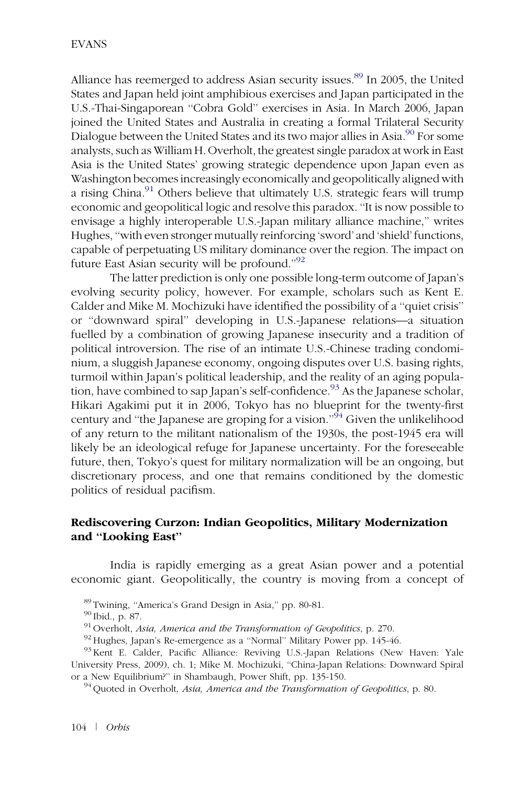Alliance has reemerged to address Asian security issues.<sup>89</sup> In 2005, the United States and Japan held joint amphibious exercises and Japan participated in the U.S.-Thai-Singaporean ''Cobra Gold'' exercises in Asia. In March 2006, Japan joined the United States and Australia in creating a formal Trilateral Security Dialogue between the United States and its two major allies in Asia.<sup>90</sup> For some analysts, such as William H. Overholt, the greatest single paradox at work in East Asia is the United States' growing strategic dependence upon Japan even as Washington becomes increasingly economically and geopolitically aligned with a rising China. $91$  Others believe that ultimately U.S. strategic fears will trump economic and geopolitical logic and resolve this paradox. ''It is now possible to envisage a highly interoperable U.S.-Japan military alliance machine,'' writes Hughes, ''with even stronger mutually reinforcing 'sword' and 'shield' functions, capable of perpetuating US military dominance over the region. The impact on future East Asian security will be profound. $192$ 

The latter prediction is only one possible long-term outcome of Japan's evolving security policy, however. For example, scholars such as Kent E. Calder and Mike M. Mochizuki have identified the possibility of a ''quiet crisis'' or ''downward spiral'' developing in U.S.-Japanese relations—a situation fuelled by a combination of growing Japanese insecurity and a tradition of political introversion. The rise of an intimate U.S.-Chinese trading condominium, a sluggish Japanese economy, ongoing disputes over U.S. basing rights, turmoil within Japan's political leadership, and the reality of an aging population, have combined to sap Japan's self-confidence.<sup>93</sup> As the Japanese scholar, Hikari Agakimi put it in 2006, Tokyo has no blueprint for the twenty-first century and "the Japanese are groping for a vision." $\frac{1}{2}$  Given the unlikelihood of any return to the militant nationalism of the 1930s, the post-1945 era will likely be an ideological refuge for Japanese uncertainty. For the foreseeable future, then, Tokyo's quest for military normalization will be an ongoing, but discretionary process, and one that remains conditioned by the domestic politics of residual pacifism.

### Rediscovering Curzon: Indian Geopolitics, Military Modernization and ''Looking East''

India is rapidly emerging as a great Asian power and a potential economic giant. Geopolitically, the country is moving from a concept of

<sup>&</sup>lt;sup>89</sup> Twining, "America's Grand Design in Asia," pp. 80-81.<br><sup>90</sup> Ibid., p. 87.<br><sup>91</sup> Overholt, *Asia, America and the Transformation of Geopolitics*, p. 270.<br><sup>92</sup> Hughes, Japan's Re-emergence as a "Normal" Military Power pp

University Press, 2009), ch. 1; Mike M. Mochizuki, ''China-Japan Relations: Downward Spiral or a New Equilibrium?'' in Shambaugh, Power Shift, pp. 135-150.

 $94$  Quoted in Overholt, Asia, America and the Transformation of Geopolitics, p. 80.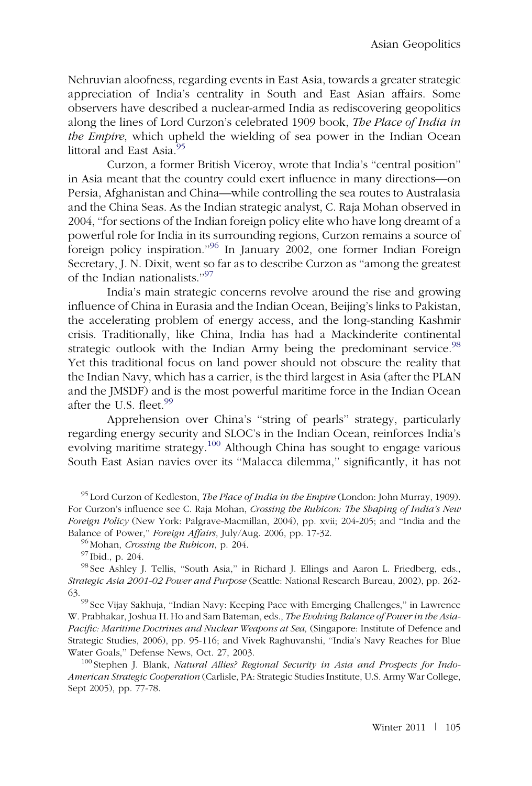Nehruvian aloofness, regarding events in East Asia, towards a greater strategic appreciation of India's centrality in South and East Asian affairs. Some observers have described a nuclear-armed India as rediscovering geopolitics along the lines of Lord Curzon's celebrated 1909 book, The Place of India in the Empire, which upheld the wielding of sea power in the Indian Ocean littoral and East Asia.<sup>95</sup>

Curzon, a former British Viceroy, wrote that India's ''central position'' in Asia meant that the country could exert influence in many directions—on Persia, Afghanistan and China—while controlling the sea routes to Australasia and the China Seas. As the Indian strategic analyst, C. Raja Mohan observed in 2004, ''for sections of the Indian foreign policy elite who have long dreamt of a powerful role for India in its surrounding regions, Curzon remains a source of foreign policy inspiration.''<sup>96</sup> In January 2002, one former Indian Foreign Secretary, J. N. Dixit, went so far as to describe Curzon as ''among the greatest of the Indian nationalists.''<sup>97</sup>

India's main strategic concerns revolve around the rise and growing influence of China in Eurasia and the Indian Ocean, Beijing's links to Pakistan, the accelerating problem of energy access, and the long-standing Kashmir crisis. Traditionally, like China, India has had a Mackinderite continental strategic outlook with the Indian Army being the predominant service. $98$ Yet this traditional focus on land power should not obscure the reality that the Indian Navy, which has a carrier, is the third largest in Asia (after the PLAN and the JMSDF) and is the most powerful maritime force in the Indian Ocean after the U.S. fleet.<sup>99</sup>

Apprehension over China's ''string of pearls'' strategy, particularly regarding energy security and SLOC's in the Indian Ocean, reinforces India's evolving maritime strategy.<sup>100</sup> Although China has sought to engage various South East Asian navies over its ''Malacca dilemma,'' significantly, it has not

<sup>95</sup> Lord Curzon of Kedleston, *The Place of India in the Empire* (London: John Murray, 1909). For Curzon's influence see C. Raja Mohan, Crossing the Rubicon: The Shaping of India's New Foreign Policy (New York: Palgrave-Macmillan, 2004), pp. xvii; 204-205; and ''India and the Balance of Power,'' Foreign Affairs, July/Aug. 2006, pp. 17-32.

63.99 See Vijay Sakhuja, ''Indian Navy: Keeping Pace with Emerging Challenges,'' in Lawrence W. Prabhakar, Joshua H. Ho and Sam Bateman, eds., The Evolving Balance of Power in the Asia-Pacific: Maritime Doctrines and Nuclear Weapons at Sea, (Singapore: Institute of Defence and Strategic Studies, 2006), pp. 95-116; and Vivek Raghuvanshi, ''India's Navy Reaches for Blue Water Goals," Defense News, Oct. 27, 2003.<br><sup>100</sup> Stephen J. Blank, *Natural Allies? Regional Security in Asia and Prospects for Indo-*

American Strategic Cooperation (Carlisle, PA: Strategic Studies Institute, U.S. Army War College, Sept 2005), pp. 77-78.

<sup>&</sup>lt;sup>96</sup> Mohan, *Crossing the Rubicon*, p. 204.<br><sup>97</sup> Ibid., p. 204.<br><sup>98</sup> See Ashley J. Tellis, "South Asia," in Richard J. Ellings and Aaron L. Friedberg, eds., Strategic Asia 2001-02 Power and Purpose (Seattle: National Research Bureau, 2002), pp. 262-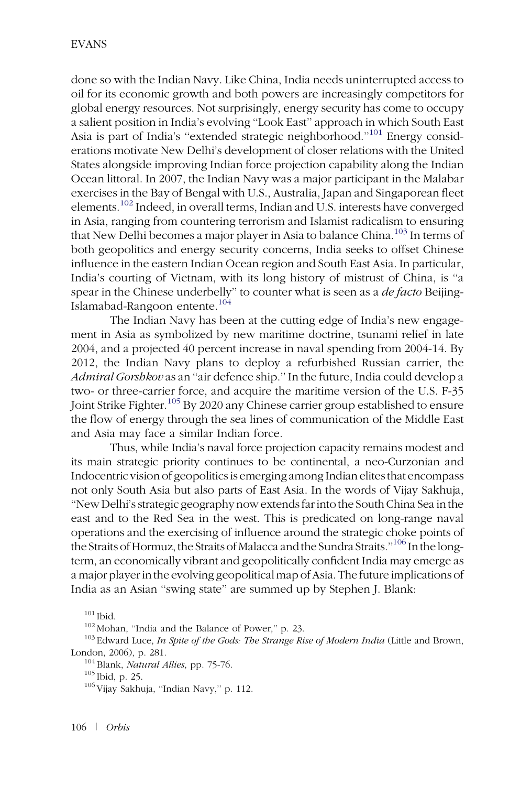done so with the Indian Navy. Like China, India needs uninterrupted access to oil for its economic growth and both powers are increasingly competitors for global energy resources. Not surprisingly, energy security has come to occupy a salient position in India's evolving ''Look East'' approach in which South East Asia is part of India's ''extended strategic neighborhood.''<sup>101</sup> Energy considerations motivate New Delhi's development of closer relations with the United States alongside improving Indian force projection capability along the Indian Ocean littoral. In 2007, the Indian Navy was a major participant in the Malabar exercises in the Bay of Bengal with U.S., Australia, Japan and Singaporean fleet elements.<sup>102</sup> Indeed, in overall terms, Indian and U.S. interests have converged in Asia, ranging from countering terrorism and Islamist radicalism to ensuring that New Delhi becomes a major player in Asia to balance China.<sup>103</sup> In terms of both geopolitics and energy security concerns, India seeks to offset Chinese influence in the eastern Indian Ocean region and South East Asia. In particular, India's courting of Vietnam, with its long history of mistrust of China, is ''a spear in the Chinese underbelly" to counter what is seen as a *de facto* Beijing-Islamabad-Rangoon entente. $104$ 

The Indian Navy has been at the cutting edge of India's new engagement in Asia as symbolized by new maritime doctrine, tsunami relief in late 2004, and a projected 40 percent increase in naval spending from 2004-14. By 2012, the Indian Navy plans to deploy a refurbished Russian carrier, the Admiral Gorshkov as an "air defence ship." In the future, India could develop a two- or three-carrier force, and acquire the maritime version of the U.S. F-35 Joint Strike Fighter.<sup>105</sup> By 2020 any Chinese carrier group established to ensure the flow of energy through the sea lines of communication of the Middle East and Asia may face a similar Indian force.

Thus, while India's naval force projection capacity remains modest and its main strategic priority continues to be continental, a neo-Curzonian and Indocentric vision of geopolitics is emerging among Indian elitesthat encompass not only South Asia but also parts of East Asia. In the words of Vijay Sakhuja, ''New Delhi's strategic geography now extends far intothe South China Sea inthe east and to the Red Sea in the west. This is predicated on long-range naval operations and the exercising of influence around the strategic choke points of the Straits of Hormuz, the Straits of Malacca and the Sundra Straits."<sup>106</sup> In the longterm, an economically vibrant and geopolitically confident India may emerge as a major player inthe evolving geopolitical map of Asia. The future implications of India as an Asian ''swing state'' are summed up by Stephen J. Blank:

<sup>101</sup> Ibid.<br><sup>102</sup> Mohan, "India and the Balance of Power," p. 23.<br><sup>103</sup> Edward Luce, *In Spite of the Gods: The Strange Rise of Modern India* (Little and Brown, London, 2006), p. 281.<br><sup>104</sup> Blank, *Natural Allies*, pp. 75-76.<br><sup>105</sup> Ibid, p. 25.

<sup>106</sup> Vijay Sakhuja, "Indian Navy," p. 112.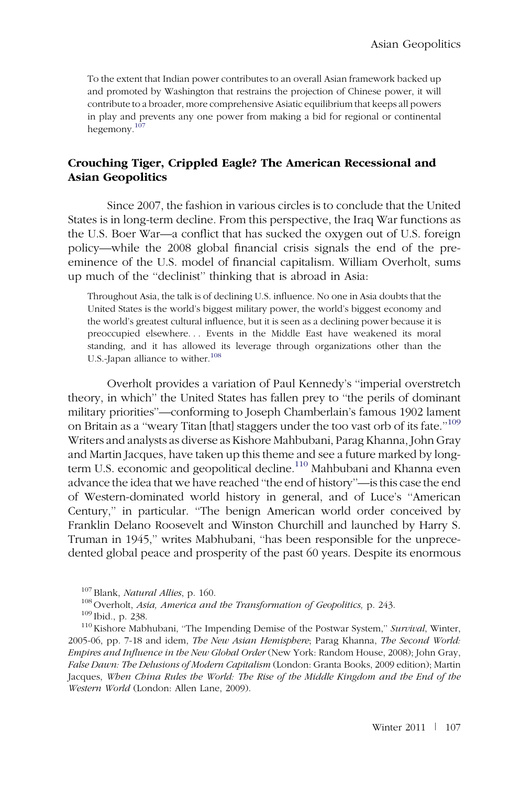To the extent that Indian power contributes to an overall Asian framework backed up and promoted by Washington that restrains the projection of Chinese power, it will contribute to a broader, more comprehensive Asiatic equilibrium that keeps all powers in play and prevents any one power from making a bid for regional or continental hegemony.<sup>107</sup>

# Crouching Tiger, Crippled Eagle? The American Recessional and Asian Geopolitics

Since 2007, the fashion in various circles is to conclude that the United States is in long-term decline. From this perspective, the Iraq War functions as the U.S. Boer War—a conflict that has sucked the oxygen out of U.S. foreign policy—while the 2008 global financial crisis signals the end of the preeminence of the U.S. model of financial capitalism. William Overholt, sums up much of the ''declinist'' thinking that is abroad in Asia:

Throughout Asia, the talk is of declining U.S. influence. No one in Asia doubts that the United States is the world's biggest military power, the world's biggest economy and the world's greatest cultural influence, but it is seen as a declining power because it is preoccupied elsewhere. . . Events in the Middle East have weakened its moral standing, and it has allowed its leverage through organizations other than the U.S.-Japan alliance to wither.<sup>108</sup>

Overholt provides a variation of Paul Kennedy's ''imperial overstretch theory, in which'' the United States has fallen prey to ''the perils of dominant military priorities''—conforming to Joseph Chamberlain's famous 1902 lament on Britain as a "weary Titan [that] staggers under the too vast orb of its fate."<sup>109</sup> Writers and analysts as diverse as Kishore Mahbubani, Parag Khanna, John Gray and Martin Jacques, have taken up this theme and see a future marked by longterm U.S. economic and geopolitical decline.<sup>110</sup> Mahbubani and Khanna even advance the idea that we have reached ''the end of history''—is this case the end of Western-dominated world history in general, and of Luce's ''American Century,'' in particular. ''The benign American world order conceived by Franklin Delano Roosevelt and Winston Churchill and launched by Harry S. Truman in 1945,'' writes Mabhubani, ''has been responsible for the unprecedented global peace and prosperity of the past 60 years. Despite its enormous

<sup>&</sup>lt;sup>107</sup> Blank, *Natural Allies*, p. 160.<br><sup>108</sup> Overholt, *Asia, America and the Transformation of Geopolitics*, p. 243.<br><sup>109</sup> Ibid., p. 238.<br><sup>110</sup> Kishore Mabhubani, ''The Impending Demise of the Postwar System,'' *Survival* 

<sup>2005-06,</sup> pp. 7-18 and idem, The New Asian Hemisphere; Parag Khanna, The Second World: Empires and Influence in the New Global Order (New York: Random House, 2008); John Gray, False Dawn: The Delusions of Modern Capitalism (London: Granta Books, 2009 edition); Martin Jacques, When China Rules the World: The Rise of the Middle Kingdom and the End of the Western World (London: Allen Lane, 2009).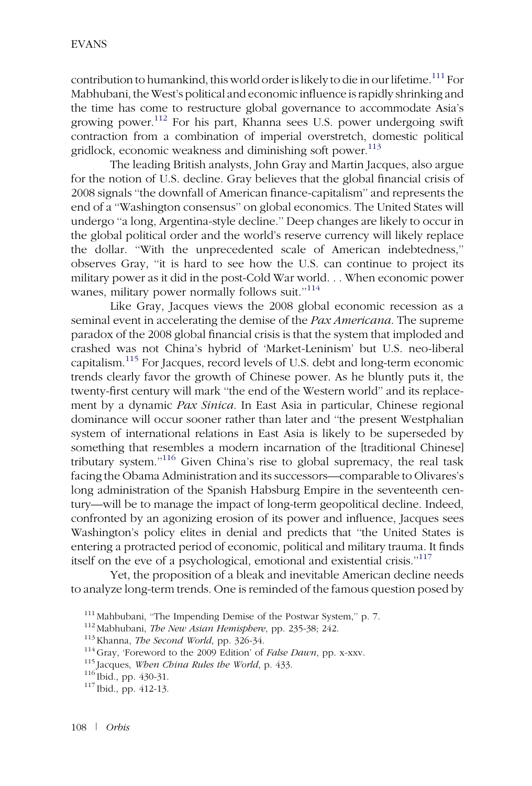contribution to humankind, this world order is likely to die in our lifetime.<sup>111</sup> For Mabhubani, the West's political and economic influence is rapidly shrinking and the time has come to restructure global governance to accommodate Asia's growing power.112 For his part, Khanna sees U.S. power undergoing swift contraction from a combination of imperial overstretch, domestic political gridlock, economic weakness and diminishing soft power. $113$ 

The leading British analysts, John Gray and Martin Jacques, also argue for the notion of U.S. decline. Gray believes that the global financial crisis of 2008 signals ''the downfall of American finance-capitalism'' and represents the end of a ''Washington consensus'' on global economics. The United States will undergo ''a long, Argentina-style decline.'' Deep changes are likely to occur in the global political order and the world's reserve currency will likely replace the dollar. ''With the unprecedented scale of American indebtedness,'' observes Gray, ''it is hard to see how the U.S. can continue to project its military power as it did in the post-Cold War world. . . When economic power wanes, military power normally follows suit."<sup>114</sup>

Like Gray, Jacques views the 2008 global economic recession as a seminal event in accelerating the demise of the Pax Americana. The supreme paradox of the 2008 global financial crisis is that the system that imploded and crashed was not China's hybrid of 'Market-Leninism' but U.S. neo-liberal capitalism.115 For Jacques, record levels of U.S. debt and long-term economic trends clearly favor the growth of Chinese power. As he bluntly puts it, the twenty-first century will mark ''the end of the Western world'' and its replacement by a dynamic Pax Sinica. In East Asia in particular, Chinese regional dominance will occur sooner rather than later and ''the present Westphalian system of international relations in East Asia is likely to be superseded by something that resembles a modern incarnation of the [traditional Chinese] tributary system."<sup>116</sup> Given China's rise to global supremacy, the real task facing the Obama Administration and its successors—comparable to Olivares's long administration of the Spanish Habsburg Empire in the seventeenth century—will be to manage the impact of long-term geopolitical decline. Indeed, confronted by an agonizing erosion of its power and influence, Jacques sees Washington's policy elites in denial and predicts that ''the United States is entering a protracted period of economic, political and military trauma. It finds itself on the eve of a psychological, emotional and existential crisis."<sup>117</sup>

Yet, the proposition of a bleak and inevitable American decline needs to analyze long-term trends. One is reminded of the famous question posed by

<sup>&</sup>lt;sup>111</sup> Mahbubani, "The Impending Demise of the Postwar System," p. 7.<br><sup>112</sup> Mabhubani, *The New Asian Hemisphere*, pp. 235-38; 242.<br><sup>113</sup> Khanna, *The Second World*, pp. 326-34.<br><sup>114</sup> Gray, 'Foreword to the 2009 Edition' o

 $^{116}$  Ibid., pp. 430-31.<br> $^{117}$  Ibid., pp. 412-13.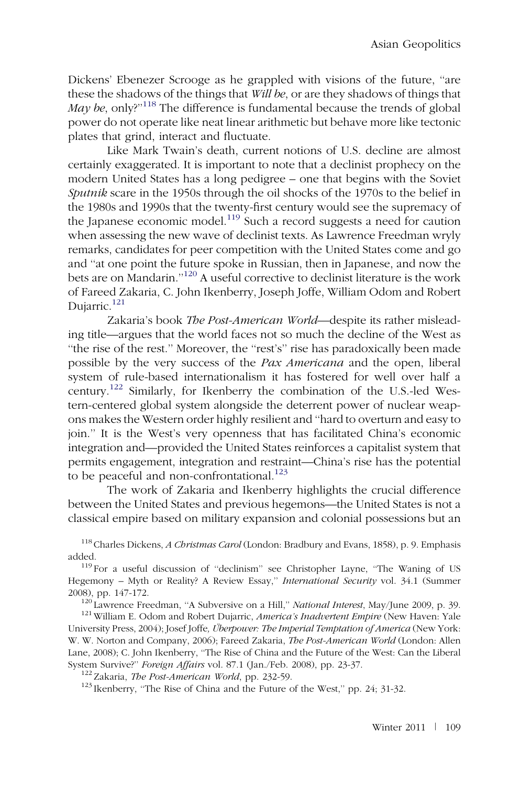Dickens' Ebenezer Scrooge as he grappled with visions of the future, ''are these the shadows of the things that Will be, or are they shadows of things that May be, only?"<sup>118</sup> The difference is fundamental because the trends of global power do not operate like neat linear arithmetic but behave more like tectonic plates that grind, interact and fluctuate.

Like Mark Twain's death, current notions of U.S. decline are almost certainly exaggerated. It is important to note that a declinist prophecy on the modern United States has a long pedigree – one that begins with the Soviet Sputnik scare in the 1950s through the oil shocks of the 1970s to the belief in the 1980s and 1990s that the twenty-first century would see the supremacy of the Japanese economic model.<sup>119</sup> Such a record suggests a need for caution when assessing the new wave of declinist texts. As Lawrence Freedman wryly remarks, candidates for peer competition with the United States come and go and ''at one point the future spoke in Russian, then in Japanese, and now the bets are on Mandarin.''120 A useful corrective to declinist literature is the work of Fareed Zakaria, C. John Ikenberry, Joseph Joffe, William Odom and Robert Dujarric.<sup>121</sup>

Zakaria's book The Post-American World—despite its rather misleading title—argues that the world faces not so much the decline of the West as ''the rise of the rest.'' Moreover, the ''rest's'' rise has paradoxically been made possible by the very success of the Pax Americana and the open, liberal system of rule-based internationalism it has fostered for well over half a century.122 Similarly, for Ikenberry the combination of the U.S.-led Western-centered global system alongside the deterrent power of nuclear weapons makes the Western order highly resilient and ''hard to overturn and easy to join.'' It is the West's very openness that has facilitated China's economic integration and—provided the United States reinforces a capitalist system that permits engagement, integration and restraint—China's rise has the potential to be peaceful and non-confrontational.<sup>123</sup>

The work of Zakaria and Ikenberry highlights the crucial difference between the United States and previous hegemons—the United States is not a classical empire based on military expansion and colonial possessions but an

<sup>118</sup> Charles Dickens, A Christmas Carol (London: Bradbury and Evans, 1858), p. 9. Emphasis added. <sup>119</sup> For a useful discussion of ''declinism'' see Christopher Layne, ''The Waning of US

Hegemony – Myth or Reality? A Review Essay,'' International Security vol. 34.1 (Summer

2008), pp. 147-172.<br><sup>120</sup> Lawrence Freedman, ''A Subversive on a Hill,'' *National Interest*, May/June 2009, p. 39.<br><sup>121</sup> William E. Odom and Robert Dujarric, *America's Inadvertent Empire* (New Haven: Yale

University Press, 2004); Josef Joffe, Uberpower: The Imperial Temptation of America (New York: W. W. Norton and Company, 2006); Fareed Zakaria, The Post-American World (London: Allen Lane, 2008); C. John Ikenberry, ''The Rise of China and the Future of the West: Can the Liberal System Survive?'' Foreign Affairs vol. 87.1 (Jan./Feb. 2008), pp. 23-37.<br><sup>122</sup> Zakaria, *The Post-American World*, pp. 232-59.<br><sup>123</sup> Ikenberry, "The Rise of China and the Future of the West," pp. 24; 31-32.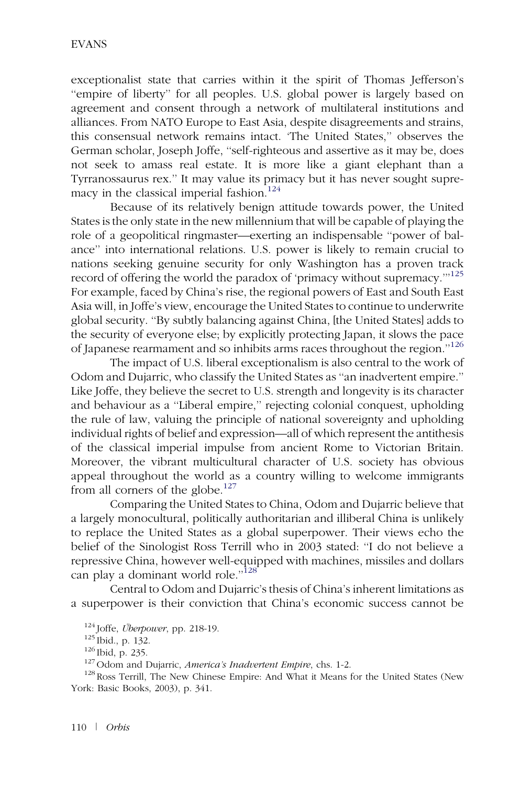exceptionalist state that carries within it the spirit of Thomas Jefferson's "empire of liberty" for all peoples. U.S. global power is largely based on agreement and consent through a network of multilateral institutions and alliances. From NATO Europe to East Asia, despite disagreements and strains, this consensual network remains intact. 'The United States,'' observes the German scholar, Joseph Joffe, ''self-righteous and assertive as it may be, does not seek to amass real estate. It is more like a giant elephant than a Tyrranossaurus rex.'' It may value its primacy but it has never sought supremacy in the classical imperial fashion.<sup>124</sup>

Because of its relatively benign attitude towards power, the United States is the only state in the new millennium that will be capable of playing the role of a geopolitical ringmaster—exerting an indispensable ''power of balance'' into international relations. U.S. power is likely to remain crucial to nations seeking genuine security for only Washington has a proven track record of offering the world the paradox of 'primacy without supremacy.'''125 For example, faced by China's rise, the regional powers of East and South East Asia will, in Joffe's view, encourage the United States to continue to underwrite global security. ''By subtly balancing against China, [the United States] adds to the security of everyone else; by explicitly protecting Japan, it slows the pace of Japanese rearmament and so inhibits arms races throughout the region. $126$ 

The impact of U.S. liberal exceptionalism is also central to the work of Odom and Dujarric, who classify the United States as ''an inadvertent empire.'' Like Joffe, they believe the secret to U.S. strength and longevity is its character and behaviour as a ''Liberal empire,'' rejecting colonial conquest, upholding the rule of law, valuing the principle of national sovereignty and upholding individual rights of belief and expression—all of which represent the antithesis of the classical imperial impulse from ancient Rome to Victorian Britain. Moreover, the vibrant multicultural character of U.S. society has obvious appeal throughout the world as a country willing to welcome immigrants from all corners of the globe.<sup>127</sup>

Comparing the United States to China, Odom and Dujarric believe that a largely monocultural, politically authoritarian and illiberal China is unlikely to replace the United States as a global superpower. Their views echo the belief of the Sinologist Ross Terrill who in 2003 stated: ''I do not believe a repressive China, however well-equipped with machines, missiles and dollars can play a dominant world role."<sup>128</sup>

Central to Odom and Dujarric's thesis of China's inherent limitations as a superpower is their conviction that China's economic success cannot be

<sup>127</sup> Odom and Dujarric, *America's Inadvertent Empire*, chs. 1-2.  $128$  Ross Terrill, The New Chinese Empire: And What it Means for the United States (New York: Basic Books, 2003), p. 341.

<sup>&</sup>lt;sup>124</sup> Joffe, *Überpower*, pp. 218-19.<br><sup>125</sup> Ibid., p. 132.<br><sup>126</sup> Ibid, p. 235.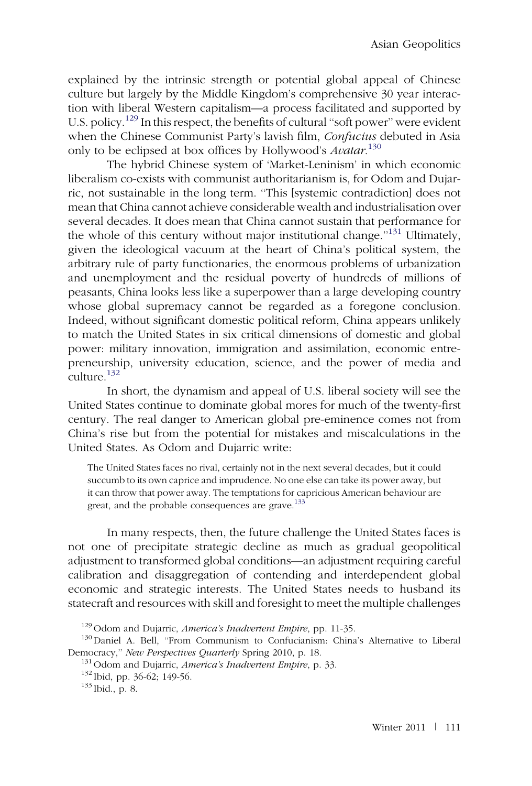explained by the intrinsic strength or potential global appeal of Chinese culture but largely by the Middle Kingdom's comprehensive 30 year interaction with liberal Western capitalism—a process facilitated and supported by U.S. policy.<sup>129</sup> In this respect, the benefits of cultural "soft power" were evident when the Chinese Communist Party's lavish film, Confucius debuted in Asia only to be eclipsed at box offices by Hollywood's Avatar.<sup>130</sup>

The hybrid Chinese system of 'Market-Leninism' in which economic liberalism co-exists with communist authoritarianism is, for Odom and Dujarric, not sustainable in the long term. ''This [systemic contradiction] does not mean that China cannot achieve considerable wealth and industrialisation over several decades. It does mean that China cannot sustain that performance for the whole of this century without major institutional change."<sup>131</sup> Ultimately, given the ideological vacuum at the heart of China's political system, the arbitrary rule of party functionaries, the enormous problems of urbanization and unemployment and the residual poverty of hundreds of millions of peasants, China looks less like a superpower than a large developing country whose global supremacy cannot be regarded as a foregone conclusion. Indeed, without significant domestic political reform, China appears unlikely to match the United States in six critical dimensions of domestic and global power: military innovation, immigration and assimilation, economic entrepreneurship, university education, science, and the power of media and culture.132

In short, the dynamism and appeal of U.S. liberal society will see the United States continue to dominate global mores for much of the twenty-first century. The real danger to American global pre-eminence comes not from China's rise but from the potential for mistakes and miscalculations in the United States. As Odom and Dujarric write:

The United States faces no rival, certainly not in the next several decades, but it could succumb to its own caprice and imprudence. No one else can take its power away, but it can throw that power away. The temptations for capricious American behaviour are great, and the probable consequences are grave.<sup>133</sup>

In many respects, then, the future challenge the United States faces is not one of precipitate strategic decline as much as gradual geopolitical adjustment to transformed global conditions—an adjustment requiring careful calibration and disaggregation of contending and interdependent global economic and strategic interests. The United States needs to husband its statecraft and resources with skill and foresight to meet the multiple challenges

<sup>&</sup>lt;sup>129</sup> Odom and Dujarric, *America's Inadvertent Empire*, pp. 11-35.<br><sup>130</sup> Daniel A. Bell, "From Communism to Confucianism: China's Alternative to Liberal Democracy," New Perspectives Quarterly Spring 2010, p. 18.<br><sup>131</sup> Odom and Dujarric, *America's Inadvertent Empire*, p. 33.<br><sup>132</sup> Ibid., p. 36-62; 149-56.<br><sup>133</sup> Ibid., p. 8.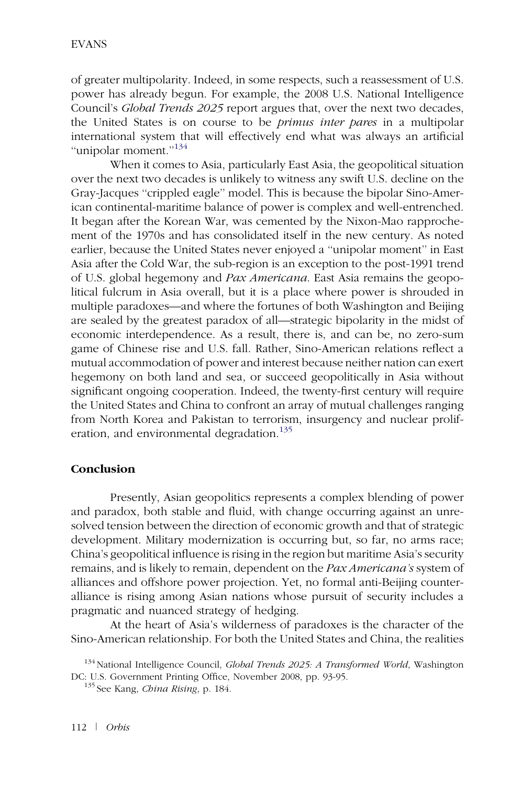of greater multipolarity. Indeed, in some respects, such a reassessment of U.S. power has already begun. For example, the 2008 U.S. National Intelligence Council's Global Trends 2025 report argues that, over the next two decades, the United States is on course to be primus inter pares in a multipolar international system that will effectively end what was always an artificial ''unipolar moment.''<sup>134</sup>

When it comes to Asia, particularly East Asia, the geopolitical situation over the next two decades is unlikely to witness any swift U.S. decline on the Gray-Jacques ''crippled eagle'' model. This is because the bipolar Sino-American continental-maritime balance of power is complex and well-entrenched. It began after the Korean War, was cemented by the Nixon-Mao rapprochement of the 1970s and has consolidated itself in the new century. As noted earlier, because the United States never enjoyed a ''unipolar moment'' in East Asia after the Cold War, the sub-region is an exception to the post-1991 trend of U.S. global hegemony and Pax Americana. East Asia remains the geopolitical fulcrum in Asia overall, but it is a place where power is shrouded in multiple paradoxes—and where the fortunes of both Washington and Beijing are sealed by the greatest paradox of all—strategic bipolarity in the midst of economic interdependence. As a result, there is, and can be, no zero-sum game of Chinese rise and U.S. fall. Rather, Sino-American relations reflect a mutual accommodation of power and interest because neither nation can exert hegemony on both land and sea, or succeed geopolitically in Asia without significant ongoing cooperation. Indeed, the twenty-first century will require the United States and China to confront an array of mutual challenges ranging from North Korea and Pakistan to terrorism, insurgency and nuclear proliferation, and environmental degradation.<sup>135</sup>

#### Conclusion

Presently, Asian geopolitics represents a complex blending of power and paradox, both stable and fluid, with change occurring against an unresolved tension between the direction of economic growth and that of strategic development. Military modernization is occurring but, so far, no arms race; China's geopolitical influence is rising in the region but maritime Asia's security remains, and is likely to remain, dependent on the Pax Americana's system of alliances and offshore power projection. Yet, no formal anti-Beijing counteralliance is rising among Asian nations whose pursuit of security includes a pragmatic and nuanced strategy of hedging.

At the heart of Asia's wilderness of paradoxes is the character of the Sino-American relationship. For both the United States and China, the realities

 $134$ National Intelligence Council, Global Trends 2025: A Transformed World, Washington DC: U.S. Government Printing Office, November 2008, pp. 93-95.<br><sup>135</sup> See Kang, *China Rising*, p. 184.